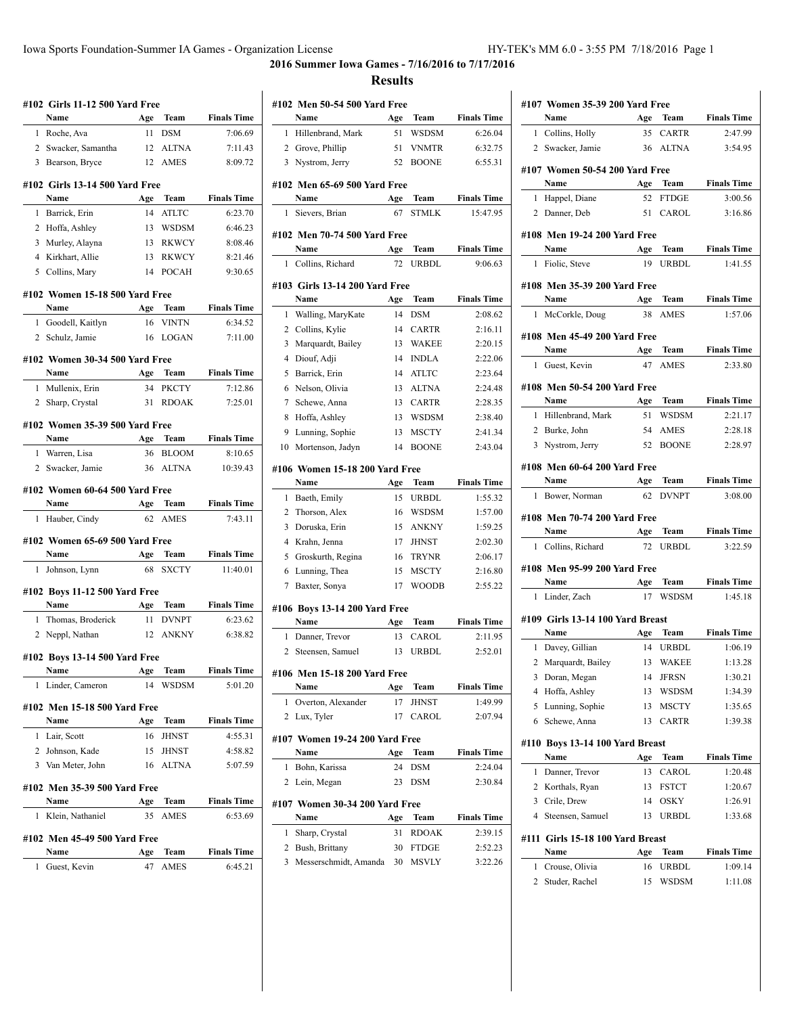**2016 Summer Iowa Games - 7/16/2016 to 7/17/2016 Results**

|              | #102  Girls 11-12 500 Yard Free      |     |              |                    |
|--------------|--------------------------------------|-----|--------------|--------------------|
|              | Name                                 | Age | Team         | <b>Finals Time</b> |
| 1            | Roche, Ava                           | 11  | <b>DSM</b>   | 7:06.69            |
|              | 2 Swacker, Samantha                  | 12  | <b>ALTNA</b> | 7:11.43            |
|              | 3 Bearson, Bryce                     | 12  | <b>AMES</b>  | 8:09.72            |
|              | #102 Girls 13-14 500 Yard Free       |     |              |                    |
|              | Name                                 | Age | Team         | <b>Finals Time</b> |
| 1            | Barrick, Erin                        | 14  | <b>ATLTC</b> | 6:23.70            |
|              | 2 Hoffa, Ashley                      |     | 13 WSDSM     | 6:46.23            |
|              | 3 Murley, Alayna                     |     | 13 RKWCY     | 8:08.46            |
|              | 4 Kirkhart, Allie                    | 13  | <b>RKWCY</b> | 8:21.46            |
|              | 5 Collins, Mary                      | 14  | <b>POCAH</b> | 9:30.65            |
|              |                                      |     |              |                    |
|              | #102 Women 15-18 500 Yard Free       |     |              |                    |
|              | Name                                 | Age | Team         | <b>Finals Time</b> |
| 1            | Goodell, Kaitlyn                     | 16  | <b>VINTN</b> | 6:34.52            |
|              | 2 Schulz, Jamie                      | 16  | <b>LOGAN</b> | 7:11.00            |
|              | #102 Women 30-34 500 Yard Free       |     |              |                    |
|              | Name                                 | Age | Team         | <b>Finals Time</b> |
|              | 1 Mullenix, Erin                     | 34  | <b>PKCTY</b> | 7:12.86            |
| $\mathbf{2}$ | Sharp, Crystal                       | 31  | <b>RDOAK</b> | 7:25.01            |
|              |                                      |     |              |                    |
|              | #102 Women 35-39 500 Yard Free       |     |              |                    |
|              | Name                                 | Age | Team         | <b>Finals Time</b> |
| 1            | Warren, Lisa                         | 36  | <b>BLOOM</b> | 8:10.65            |
|              | 2 Swacker, Jamie                     | 36  | <b>ALTNA</b> | 10:39.43           |
|              |                                      |     |              |                    |
|              | #102 Women 60-64 500 Yard Free       |     |              |                    |
|              | Name                                 |     | Age Team     | <b>Finals Time</b> |
| 1            | Hauber, Cindy                        | 62  | <b>AMES</b>  | 7:43.11            |
|              |                                      |     |              |                    |
|              | #102 Women 65-69 500 Yard Free       |     |              |                    |
|              | Name                                 | Age | Team         | <b>Finals Time</b> |
| 1            | Johnson, Lynn                        | 68  | <b>SXCTY</b> | 11:40.01           |
|              | #102 Boys 11-12 500 Yard Free        |     |              |                    |
|              | Name                                 |     | Age Team     | <b>Finals Time</b> |
| 1            | Thomas, Broderick                    | 11  | <b>DVNPT</b> | 6:23.62            |
| 2            | Neppl, Nathan                        | 12  | <b>ANKNY</b> | 6:38.82            |
|              |                                      |     |              |                    |
|              | #102 Boys 13-14 500 Yard Free        |     |              |                    |
|              | Name                                 | Age | <b>Team</b>  | <b>Finals Time</b> |
| 1            | Linder, Cameron                      | 14  | WSDSM        | 5:01.20            |
|              | #102 Men 15-18 500 Yard Free         |     |              |                    |
|              | Name                                 |     | Age Team     | <b>Finals Time</b> |
|              | 1 Lair, Scott                        | 16  | <b>JHNST</b> | 4:55.31            |
|              | 2 Johnson, Kade                      |     | 15 JHNST     | 4:58.82            |
|              | 3 Van Meter, John                    |     | 16 ALTNA     | 5:07.59            |
|              |                                      |     |              |                    |
|              | #102 Men 35-39 500 Yard Free<br>Name |     |              |                    |
|              |                                      | Age | Team         | <b>Finals Time</b> |
| 1            | Klein, Nathaniel                     | 35  | AMES         | 6:53.69            |
|              | #102 Men 45-49 500 Yard Free         |     |              |                    |
|              | Name                                 | Age | Team         | <b>Finals Time</b> |

|    | #102 Men 50-54 500 Yard Free           |           |                      |                                |
|----|----------------------------------------|-----------|----------------------|--------------------------------|
|    | Name                                   | Age       | Team                 | <b>Finals Time</b>             |
| 1  | Hillenbrand, Mark                      | 51        | WSDSM                | 6:26.04                        |
| 2  | Grove, Phillip                         | 51        | <b>VNMTR</b>         | 6:32.75                        |
|    | 3 Nystrom, Jerry                       | 52        | <b>BOONE</b>         | 6:55.31                        |
|    |                                        |           |                      |                                |
|    | #102 Men 65-69 500 Yard Free           |           |                      |                                |
| 1  | Name<br>Sievers, Brian                 | Age<br>67 | Team<br><b>STMLK</b> | <b>Finals Time</b><br>15:47.95 |
|    |                                        |           |                      |                                |
|    | #102  Men 70-74 500 Yard Free          |           |                      |                                |
|    | Name                                   | Age       | Team                 | <b>Finals Time</b>             |
| 1  | Collins, Richard                       | 72        | URBDL                | 9:06.63                        |
|    | #103  Girls 13-14 200 Yard Free        |           |                      |                                |
|    | Name                                   | Age       | Team                 | <b>Finals Time</b>             |
| 1  | Walling, MaryKate                      | 14        | <b>DSM</b>           | 2:08.62                        |
| 2  | Collins, Kylie                         | 14        | <b>CARTR</b>         | 2:16.11                        |
| 3  | Marquardt, Bailey                      | 13        | <b>WAKEE</b>         | 2:20.15                        |
| 4  | Diouf, Adji                            | 14        | <b>INDLA</b>         | 2:22.06                        |
| 5  | Barrick, Erin                          | 14        | <b>ATLTC</b>         | 2:23.64                        |
| 6  | Nelson, Olivia                         | 13        | <b>ALTNA</b>         | 2:24.48                        |
| 7  | Schewe, Anna                           | 13        | <b>CARTR</b>         | 2:28.35                        |
| 8  | Hoffa, Ashley                          | 13        | <b>WSDSM</b>         | 2:38.40                        |
| 9  | Lunning, Sophie                        | 13        | <b>MSCTY</b>         | 2:41.34                        |
| 10 | Mortenson, Jadyn                       | 14        | <b>BOONE</b>         | 2:43.04                        |
|    | #106 Women 15-18 200 Yard Free         |           |                      |                                |
|    | Name                                   | Age       | Team                 | <b>Finals Time</b>             |
| 1  | Baeth, Emily                           | 15        | <b>URBDL</b>         | 1:55.32                        |
| 2  | Thorson, Alex                          | 16        | <b>WSDSM</b>         | 1:57.00                        |
| 3  | Doruska, Erin                          | 15        | <b>ANKNY</b>         | 1:59.25                        |
| 4  | Krahn, Jenna                           | 17        | <b>JHNST</b>         | 2:02.30                        |
| 5  | Groskurth, Regina                      | 16        | <b>TRYNR</b>         | 2:06.17                        |
| 6  | Lunning, Thea                          | 15        | <b>MSCTY</b>         | 2:16.80                        |
| 7  | Baxter, Sonya                          | 17        | WOODB                | 2:55.22                        |
|    | #106 Boys 13-14 200 Yard Free          |           |                      |                                |
|    | Name                                   | Age       | Team                 | <b>Finals Time</b>             |
| 1  | Danner, Trevor                         | 13        | CAROL                | 2:11.95                        |
| 2  | Steensen, Samuel                       | 13        | URBDL                | 2:52.01                        |
|    | #106 Men 15-18 200 Yard Free           |           |                      |                                |
|    | Name                                   | Age       | Team                 | <b>Finals Time</b>             |
| 1  | Overton, Alexander                     | 17        | <b>JHNST</b>         | 1:49.99                        |
| 2  | Lux, Tyler                             | 17        | CAROL                | 2:07.94                        |
|    | #107 Women 19-24 200 Yard Free         |           |                      |                                |
|    | Name                                   | Age       | Team                 | <b>Finals Time</b>             |
| 1  | Bohn, Karissa                          | 24        | DSM                  | 2:24.04                        |
| 2  | Lein, Megan                            | 23        | <b>DSM</b>           | 2:30.84                        |
|    |                                        |           |                      |                                |
|    | #107 Women 30-34 200 Yard Free<br>Name | Age       | Team                 | <b>Finals Time</b>             |
| 1  | Sharp, Crystal                         | 31        | RDOAK                | 2:39.15                        |
| 2  | Bush, Brittany                         | 30        | <b>FTDGE</b>         | 2:52.23                        |
| 3  | Messerschmidt, Amanda                  | 30        | <b>MSVLY</b>         | 3:22.26                        |
|    |                                        |           |                      |                                |
|    |                                        |           |                      |                                |

| #107 Women 35-39 200 Yard Free                                                                                                                                                                                                |           |                             |                         |
|-------------------------------------------------------------------------------------------------------------------------------------------------------------------------------------------------------------------------------|-----------|-----------------------------|-------------------------|
| Name                                                                                                                                                                                                                          | Age       |                             | <b>Team</b> Finals Time |
| Collins, Holly<br>1                                                                                                                                                                                                           | 35        | <b>CARTR</b>                | 2:47.99                 |
| 2 Swacker, Jamie                                                                                                                                                                                                              |           | 36 ALTNA                    | 3:54.95                 |
|                                                                                                                                                                                                                               |           |                             |                         |
| #107 Women 50-54 200 Yard Free                                                                                                                                                                                                |           |                             |                         |
| Name<br><b>Example 2</b> Age Team                                                                                                                                                                                             |           |                             | <b>Finals Time</b>      |
| 1 Happel, Diane                                                                                                                                                                                                               | 52        | <b>FTDGE</b>                | 3:00.56                 |
| 2 Danner, Deb                                                                                                                                                                                                                 |           | 51 CAROL                    | 3:16.86                 |
| #108 Men 19-24 200 Yard Free                                                                                                                                                                                                  |           |                             |                         |
| Name                                                                                                                                                                                                                          | Age       | Team                        | <b>Finals Time</b>      |
| 1 Fiolic, Steve                                                                                                                                                                                                               | 19        | <b>URBDL</b>                | 1:41.55                 |
| #108 Men 35-39 200 Yard Free                                                                                                                                                                                                  |           |                             |                         |
| Name                                                                                                                                                                                                                          |           |                             | Age Team Finals Time    |
| 1 McCorkle, Doug                                                                                                                                                                                                              |           | 38 AMES                     | 1:57.06                 |
|                                                                                                                                                                                                                               |           |                             |                         |
| #108 Men 45-49 200 Yard Free                                                                                                                                                                                                  |           |                             |                         |
| Name                                                                                                                                                                                                                          |           | Age Team                    | <b>Finals Time</b>      |
| Guest, Kevin<br>1                                                                                                                                                                                                             | 47        | <b>AMES</b>                 | 2:33.80                 |
| #108 Men 50-54 200 Yard Free                                                                                                                                                                                                  |           |                             |                         |
| Name                                                                                                                                                                                                                          |           | Age Team                    | <b>Finals Time</b>      |
| 1 Hillenbrand, Mark                                                                                                                                                                                                           | 51        | WSDSM                       | 2:21.17                 |
| 2 Burke, John                                                                                                                                                                                                                 |           | 54 AMES                     | 2:28.18                 |
| 3 Nystrom, Jerry                                                                                                                                                                                                              |           | 52 BOONE                    | 2.28.97                 |
| #108 Men 60-64 200 Yard Free                                                                                                                                                                                                  |           |                             |                         |
| Name                                                                                                                                                                                                                          |           | <b>Age Team</b>             | <b>Finals Time</b>      |
| 1 Bower, Norman                                                                                                                                                                                                               | 62        | <b>DVNPT</b>                | 3:08.00                 |
|                                                                                                                                                                                                                               |           |                             |                         |
|                                                                                                                                                                                                                               |           |                             |                         |
| #108 Men 70-74 200 Yard Free                                                                                                                                                                                                  |           |                             |                         |
| Name                                                                                                                                                                                                                          |           | Age Team                    | <b>Finals Time</b>      |
| 1 Collins, Richard                                                                                                                                                                                                            |           | 72 URBDL                    | 3:22.59                 |
| #108 Men 95-99 200 Yard Free                                                                                                                                                                                                  |           |                             |                         |
| Name and the same state of the same state of the same state of the same state of the same state of the same state of the same state of the same state of the same state of the same state of the same state of the same state |           | Age Team                    | <b>Finals Time</b>      |
| 1 Linder, Zach                                                                                                                                                                                                                | 17        | WSDSM                       | 1:45.18                 |
| #109 Girls 13-14 100 Yard Breast                                                                                                                                                                                              |           |                             |                         |
| Name                                                                                                                                                                                                                          |           | Age Team                    | <b>Finals Time</b>      |
| 1 Davey, Gillian                                                                                                                                                                                                              |           | 14 URBDL                    | 1:06.19                 |
| 2 Marquardt, Bailey 13 WAKEE                                                                                                                                                                                                  |           |                             | 1:13.28                 |
| 3<br>Doran, Megan                                                                                                                                                                                                             | 14        | <b>JFRSN</b>                | 1:30.21                 |
| 4<br>Hoffa, Ashley                                                                                                                                                                                                            | 13        | WSDSM                       | 1:34.39                 |
| 5<br>Lunning, Sophie                                                                                                                                                                                                          | 13        | <b>MSCTY</b>                | 1:35.65                 |
| Schewe, Anna<br>6                                                                                                                                                                                                             | 13        | <b>CARTR</b>                | 1:39.38                 |
|                                                                                                                                                                                                                               |           |                             |                         |
| #110 Boys 13-14 100 Yard Breast                                                                                                                                                                                               |           |                             |                         |
| Name<br>1                                                                                                                                                                                                                     | Age<br>13 | Team                        | <b>Finals Time</b>      |
| Danner, Trevor<br>2                                                                                                                                                                                                           | 13        | CAROL                       | 1:20.48<br>1:20.67      |
| Korthals, Ryan<br>3                                                                                                                                                                                                           | 14        | <b>FSTCT</b><br><b>OSKY</b> |                         |
| Crile, Drew<br>4                                                                                                                                                                                                              |           |                             | 1:26.91                 |
| Steensen, Samuel                                                                                                                                                                                                              | 13        | <b>URBDL</b>                | 1:33.68                 |
| #111 Girls 15-18 100 Yard Breast                                                                                                                                                                                              |           |                             |                         |
| Name                                                                                                                                                                                                                          | Age       | Team                        | <b>Finals Time</b>      |
| Crouse, Olivia<br>1                                                                                                                                                                                                           | 16        | URBDL                       | 1:09.14                 |
| Studer, Rachel<br>2                                                                                                                                                                                                           | 15        | WSDSM                       | 1:11.08                 |
|                                                                                                                                                                                                                               |           |                             |                         |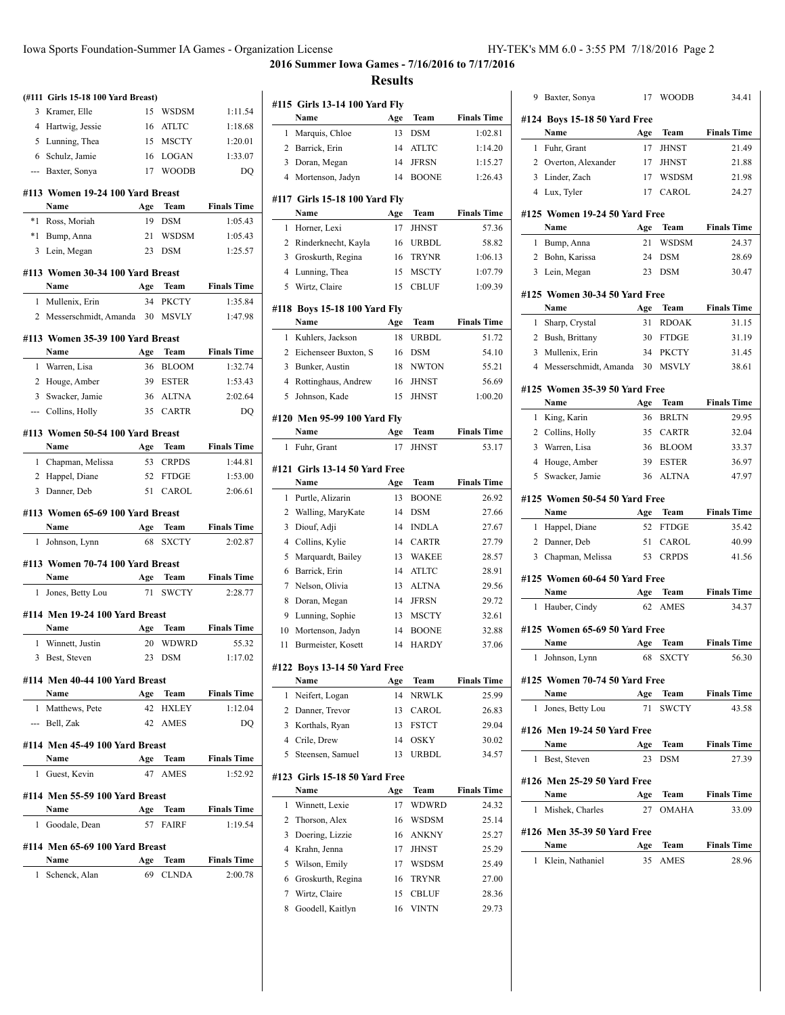**2016 Summer Iowa Games - 7/16/2016 to 7/17/2016 Results**

|              | (#111 Girls 15-18 100 Yard Breast)     |     |                 |                    |
|--------------|----------------------------------------|-----|-----------------|--------------------|
| 3            | Kramer, Elle                           | 15  | WSDSM           | 1:11.54            |
|              | 4 Hartwig, Jessie                      | 16  | ATLTC           | 1:18.68            |
|              | 5 Lunning, Thea                        |     | 15 MSCTY        | 1:20.01            |
|              | 6 Schulz, Jamie                        | 16  | LOGAN           | 1:33.07            |
|              | --- Baxter, Sonya                      | 17  | <b>WOODB</b>    | DQ                 |
|              | #113 Women 19-24 100 Yard Breast       |     |                 |                    |
|              | Name                                   | Age | Team            | <b>Finals Time</b> |
| $*1$         | Ross, Moriah                           | 19  | <b>DSM</b>      | 1:05.43            |
| $*1$         | Bump, Anna                             | 21  | <b>WSDSM</b>    | 1:05.43            |
| 3            | Lein, Megan                            |     | 23 DSM          | 1:25.57            |
|              | #113 Women 30-34 100 Yard Breast       |     |                 |                    |
|              | Name                                   | Age | Team            | <b>Finals Time</b> |
| $\mathbf{1}$ | Mullenix, Erin                         | 34  | <b>PKCTY</b>    | 1:35.84            |
|              | 2 Messerschmidt, Amanda 30             |     | <b>MSVLY</b>    | 1:47.98            |
|              | #113 Women 35-39 100 Yard Breast       |     |                 |                    |
|              | Name                                   | Age | Team            | <b>Finals Time</b> |
| 1            | Warren, Lisa                           | 36  | <b>BLOOM</b>    | 1:32.74            |
|              | 2 Houge, Amber                         |     | 39 ESTER        | 1:53.43            |
|              | 3 Swacker, Jamie                       |     | 36 ALTNA        | 2:02.64            |
|              | --- Collins, Holly                     |     | 35 CARTR        | DQ                 |
|              |                                        |     |                 |                    |
|              | #113 Women 50-54 100 Yard Breast       |     |                 |                    |
|              | Name                                   | Age | Team            | <b>Finals Time</b> |
| 1            | Chapman, Melissa                       | 53  | <b>CRPDS</b>    | 1:44.81            |
|              | 2 Happel, Diane                        | 52  | <b>FTDGE</b>    | 1:53.00            |
|              | 3 Danner, Deb                          | 51  | CAROL           | 2:06.61            |
|              | #113 Women 65-69 100 Yard Breast       |     |                 |                    |
|              | Name                                   | Age | Team            | <b>Finals Time</b> |
| 1            | Johnson, Lynn                          | 68  | <b>SXCTY</b>    | 2:02.87            |
|              | #113 Women 70-74 100 Yard Breast       |     |                 |                    |
|              | Name                                   | Age | Team            | <b>Finals Time</b> |
| 1            | Jones, Betty Lou                       | 71  | SWCTY           | 2:28.77            |
|              | #114 Men 19-24 100 Yard Breast         |     |                 |                    |
|              | Name                                   | Age | Team            | <b>Finals Time</b> |
| $\mathbf{1}$ | Winnett, Justin                        | 20  | <b>WDWRD</b>    | 55.32              |
|              | 3 Best, Steven                         |     | 23 DSM          | 1:17.02            |
|              |                                        |     |                 |                    |
|              | #114 Men 40-44 100 Yard Breast<br>Name | Age | Team            | <b>Finals Time</b> |
|              | 1 Matthews, Pete                       |     | 42 HXLEY        | 1:12.04            |
|              | --- Bell, Zak                          |     | 42 AMES         | DQ                 |
|              |                                        |     |                 |                    |
|              | #114 Men 45-49 100 Yard Breast         |     |                 |                    |
|              | Name $\qquad \qquad$                   |     | Age Team        | <b>Finals Time</b> |
|              | 1 Guest, Kevin                         |     | 47 AMES         | 1:52.92            |
|              | #114 Men 55-59 100 Yard Breast         |     |                 |                    |
|              | Name                                   | Age | Team            | <b>Finals Time</b> |
| 1            | Goodale, Dean                          |     | 57 FAIRF        | 1:19.54            |
|              | #114 Men 65-69 100 Yard Breast         |     |                 |                    |
|              | Name                                   |     | <b>Age Team</b> | <b>Finals Time</b> |
| 1            | Schenck, Alan                          |     | 69 CLNDA        | 2:00.78            |
|              |                                        |     |                 |                    |
|              |                                        |     |                 |                    |

|                | #115  Girls 13-14 100 Yard Fly         |     |              |                    |
|----------------|----------------------------------------|-----|--------------|--------------------|
|                | Name                                   | Age | Team         | <b>Finals Time</b> |
| 1              | Marquis, Chloe                         | 13  | <b>DSM</b>   | 1:02.81            |
| 2              | Barrick, Erin                          | 14  | <b>ATLTC</b> | 1:14.20            |
| 3              | Doran, Megan                           | 14  | <b>JFRSN</b> | 1:15.27            |
| $\overline{4}$ | Mortenson, Jadyn                       | 14  | <b>BOONE</b> | 1:26.43            |
|                |                                        |     |              |                    |
|                | #117  Girls 15-18 100 Yard Fly         |     |              |                    |
|                | Name                                   | Age | Team         | <b>Finals Time</b> |
| 1              | Horner, Lexi                           | 17  | <b>JHNST</b> | 57.36              |
| 2              | Rinderknecht, Kayla                    | 16  | URBDL        | 58.82              |
| 3              | Groskurth, Regina                      | 16  | <b>TRYNR</b> | 1:06.13            |
| 4              | Lunning, Thea                          | 15  | <b>MSCTY</b> | 1:07.79            |
| 5              | Wirtz, Claire                          | 15  | <b>CBLUF</b> | 1:09.39            |
|                | #118 Boys 15-18 100 Yard Fly           |     |              |                    |
|                | Name                                   | Age | Team         | <b>Finals Time</b> |
| 1              | Kuhlers, Jackson                       | 18  | <b>URBDL</b> | 51.72              |
| 2              | Eichenseer Buxton, S                   | 16  | <b>DSM</b>   | 54.10              |
| 3              | Bunker, Austin                         | 18  | <b>NWTON</b> | 55.21              |
| 4              | Rottinghaus, Andrew                    | 16  | <b>JHNST</b> | 56.69              |
| 5              | Johnson, Kade                          | 15  | <b>JHNST</b> | 1:00.20            |
|                |                                        |     |              |                    |
|                | #120 Men 95-99 100 Yard Fly<br>Name    | Age | Team         | <b>Finals Time</b> |
| 1              | Fuhr, Grant                            | 17  | <b>JHNST</b> | 53.17              |
|                |                                        |     |              |                    |
|                | #121 Girls 13-14 50 Yard Free          |     |              |                    |
|                | Name                                   | Age | Team         | <b>Finals Time</b> |
| 1              | Purtle, Alizarin                       | 13  | <b>BOONE</b> | 26.92              |
| 2              | Walling, MaryKate                      | 14  | <b>DSM</b>   | 27.66              |
| 3              | Diouf, Adji                            | 14  | <b>INDLA</b> | 27.67              |
| 4              | Collins, Kylie                         | 14  | <b>CARTR</b> | 27.79              |
| 5              | Marquardt, Bailey                      | 13  | <b>WAKEE</b> | 28.57              |
| 6              | Barrick, Erin                          | 14  | <b>ATLTC</b> | 28.91              |
| 7              | Nelson, Olivia                         | 13  | <b>ALTNA</b> | 29.56              |
| 8              | Doran, Megan                           | 14  | <b>JFRSN</b> | 29.72              |
| 9              | Lunning, Sophie                        | 13  | <b>MSCTY</b> | 32.61              |
| 10             | Mortenson, Jadyn                       | 14  | <b>BOONE</b> | 32.88              |
| 11             | Burmeister, Kosett                     | 14  | <b>HARDY</b> | 37.06              |
|                | #122 Boys 13-14 50 Yard Free           |     |              |                    |
|                | Name                                   | Age | Team         | <b>Finals Time</b> |
| 1              | Neifert, Logan                         | 14  | <b>NRWLK</b> | 25.99              |
| 2              | Danner, Trevor                         | 13  | CAROL        | 26.83              |
| 3              | Korthals, Ryan                         | 13  | FSTCT        | 29.04              |
| 4              | Crile, Drew                            | 14  | OSKY         | 30.02              |
| 5              | Steensen, Samuel                       | 13  | URBDL        | 34.57              |
|                |                                        |     |              |                    |
|                | #123  Girls 15-18 50 Yard Free<br>Name | Age | Team         | <b>Finals Time</b> |
| 1              | Winnett, Lexie                         | 17  | WDWRD        | 24.32              |
| 2              | Thorson, Alex                          | 16  | <b>WSDSM</b> | 25.14              |
| 3              | Doering, Lizzie                        | 16  | ANKNY        | 25.27              |
| 4              | Krahn, Jenna                           | 17  | <b>JHNST</b> | 25.29              |
| 5              | Wilson, Emily                          | 17  | <b>WSDSM</b> | 25.49              |
| 6              | Groskurth, Regina                      | 16  | TRYNR        | 27.00              |
| 7              | Wirtz, Claire                          | 15  | CBLUF        | 28.36              |
| 8              | Goodell, Kaitlyn                       | 16  | <b>VINTN</b> | 29.73              |
|                |                                        |     |              |                    |
|                |                                        |     |              |                    |

|              | Baxter, Sonya                       | 17        | <b>WOODB</b>        | 34.41                                                                                                                                               |
|--------------|-------------------------------------|-----------|---------------------|-----------------------------------------------------------------------------------------------------------------------------------------------------|
|              | #124 Boys 15-18 50 Yard Free        |           |                     |                                                                                                                                                     |
|              | Name                                | Age       | <b>Team</b>         | <b>Finals Time</b>                                                                                                                                  |
| $\mathbf{1}$ | Fuhr, Grant                         | 17        | <b>JHNST</b>        | 21.49                                                                                                                                               |
|              | 2 Overton, Alexander                | 17        | JHNST               | 21.88                                                                                                                                               |
|              | 3 Linder, Zach                      | 17        | <b>WSDSM</b>        | 21.98                                                                                                                                               |
|              | 4 Lux, Tyler                        | 17        | CAROL               | 24.27                                                                                                                                               |
|              |                                     |           |                     |                                                                                                                                                     |
|              | #125 Women 19-24 50 Yard Free       |           |                     |                                                                                                                                                     |
|              | Name                                | Age       | Team                | <b>Finals Time</b>                                                                                                                                  |
| 1            | Bump, Anna                          | 21        | <b>WSDSM</b>        | 24.37                                                                                                                                               |
|              | 2 Bohn, Karissa                     | 24        | DSM                 | 28.69                                                                                                                                               |
| 3            | Lein, Megan                         | 23        | <b>DSM</b>          | 30.47                                                                                                                                               |
|              | #125 Women 30-34 50 Yard Free       |           |                     |                                                                                                                                                     |
|              | Name                                | Age       | Team                | <b>Finals Time</b>                                                                                                                                  |
| 1            | Sharp, Crystal                      | 31        | <b>RDOAK</b>        | 31.15                                                                                                                                               |
|              | 2 Bush, Brittany                    | 30        | <b>FTDGE</b>        | 31.19                                                                                                                                               |
|              | 3 Mullenix, Erin                    | 34        | <b>PKCTY</b>        | 31.45                                                                                                                                               |
|              | 4 Messerschmidt, Amanda             | 30        | <b>MSVLY</b>        | 38.61                                                                                                                                               |
|              |                                     |           |                     |                                                                                                                                                     |
|              | #125 Women 35-39 50 Yard Free       |           |                     |                                                                                                                                                     |
|              | Name                                | Age       | Team                | <b>Finals Time</b>                                                                                                                                  |
|              | 1 King, Karin                       | 36        | <b>BRLTN</b>        | 29.95                                                                                                                                               |
|              | 2 Collins, Holly                    | 35        | <b>CARTR</b>        | 32.04                                                                                                                                               |
|              | 3 Warren, Lisa                      | 36        | <b>BLOOM</b>        | 33.37                                                                                                                                               |
|              | 4 Houge, Amber                      | 39        | <b>ESTER</b>        | 36.97                                                                                                                                               |
| 5            | Swacker, Jamie                      | 36        | <b>ALTNA</b>        | 47.97                                                                                                                                               |
|              | #125 Women 50-54 50 Yard Free       |           |                     |                                                                                                                                                     |
|              | Name                                | Age       | Team                | <b>Finals Time</b>                                                                                                                                  |
|              |                                     |           |                     |                                                                                                                                                     |
| 1            | Happel, Diane                       | 52        | <b>FTDGE</b>        |                                                                                                                                                     |
|              | 2 Danner, Deb                       | 51        | CAROL               |                                                                                                                                                     |
| 3            | Chapman, Melissa                    | 53        | <b>CRPDS</b>        |                                                                                                                                                     |
|              |                                     |           |                     |                                                                                                                                                     |
|              | #125 Women 60-64 50 Yard Free       |           |                     |                                                                                                                                                     |
|              | Name                                | Age       | Team                |                                                                                                                                                     |
| 1            | Hauber, Cindy                       | 62        | <b>AMES</b>         |                                                                                                                                                     |
|              | #125 Women 65-69 50 Yard Free       |           |                     |                                                                                                                                                     |
|              | Name                                | Age       | Team                |                                                                                                                                                     |
| 1            | Johnson, Lynn                       | 68        | SXCTY               |                                                                                                                                                     |
|              |                                     |           |                     |                                                                                                                                                     |
|              | #125 Women 70-74 50 Yard Free       |           |                     |                                                                                                                                                     |
|              | Name                                | Age       | <b>Team</b>         |                                                                                                                                                     |
| 1            | Jones, Betty Lou                    | 71        | <b>SWCTY</b>        |                                                                                                                                                     |
|              | #126 Men 19-24 50 Yard Free         |           |                     |                                                                                                                                                     |
|              | Name                                | Age       | Team                |                                                                                                                                                     |
| 1            | Best, Steven                        | 23        | <b>DSM</b>          | 35.42<br>40.99<br>41.56<br><b>Finals Time</b><br>34.37<br><b>Finals Time</b><br>56.30<br><b>Finals Time</b><br>43.58<br><b>Finals Time</b><br>27.39 |
|              |                                     |           |                     |                                                                                                                                                     |
|              | #126 Men 25-29 50 Yard Free<br>Name |           | Team                |                                                                                                                                                     |
|              |                                     | Age<br>27 | <b>OMAHA</b>        |                                                                                                                                                     |
|              | 1 Mishek, Charles                   |           |                     |                                                                                                                                                     |
|              | #126 Men 35-39 50 Yard Free         |           |                     |                                                                                                                                                     |
|              | Name<br>Klein, Nathaniel            | Age<br>35 | Team<br><b>AMES</b> | <b>Finals Time</b><br>33.09<br><b>Finals Time</b><br>28.96                                                                                          |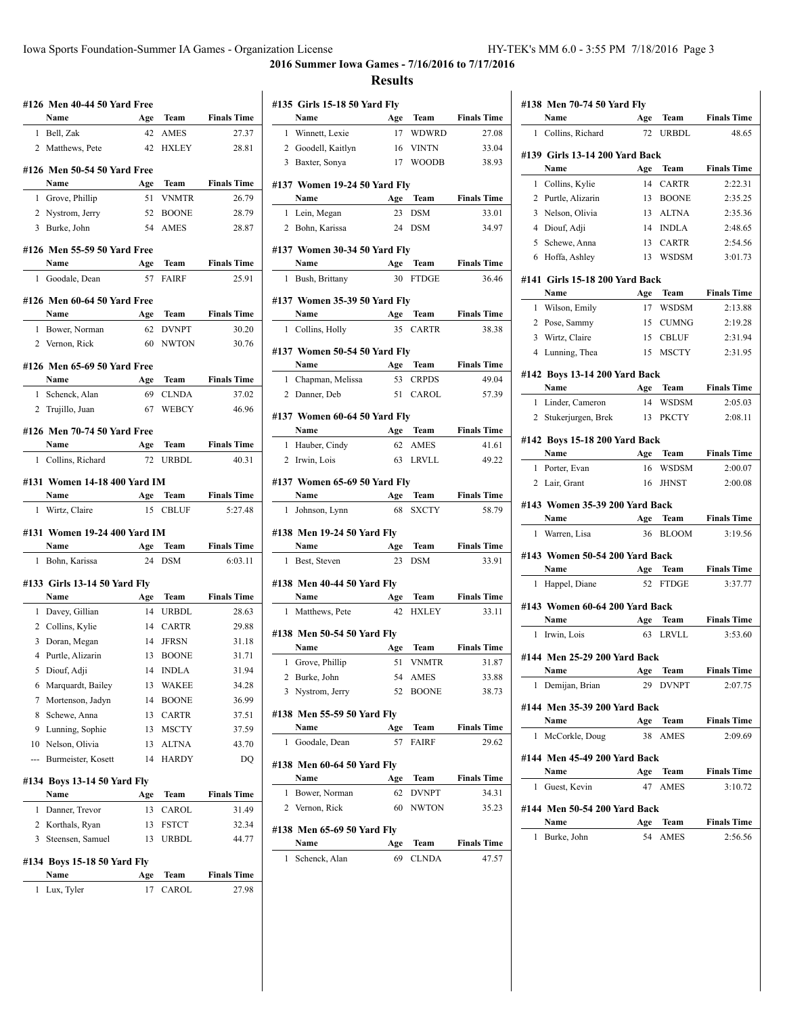$\overline{1}$ 

**2016 Summer Iowa Games - 7/16/2016 to 7/17/2016 Results**

# **#126 Men 40-44 50 Yard Free Name Age Team Finals Time** 1 Bell, Zak 42 AMES 27.37 2 Matthews, Pete 42 HXLEY 28.81 **#126 Men 50-54 50 Yard Free Name Age Team Finals Time** 1 Grove, Phillip 51 VNMTR 26.79 2 Nystrom, Jerry 52 BOONE 28.79 3 Burke, John 54 AMES 28.87 **#126 Men 55-59 50 Yard Free Name Age Team Finals Time** 1 Goodale, Dean 57 FAIRF 25.91 **#126 Men 60-64 50 Yard Free Name Age Team Finals Time** 1 Bower, Norman 62 DVNPT 30.20 2 Vernon, Rick 60 NWTON 30.76 **#126 Men 65-69 50 Yard Free Name Age Team Finals Time** 1 Schenck, Alan 69 CLNDA 37.02 2 Trujillo, Juan 67 WEBCY 46.96 **#126 Men 70-74 50 Yard Free Name Age Team Finals Time** 1 Collins, Richard 72 URBDL 40.31 **#131 Women 14-18 400 Yard IM Name Age Team Finals Time** 1 Wirtz, Claire 15 CBLUF 5:27.48 **#131 Women 19-24 400 Yard IM Name Age Team Finals Time** 1 Bohn, Karissa 24 DSM 6:03.11 **#133 Girls 13-14 50 Yard Fly Name Age Team Finals Time** 1 Davey, Gillian 14 URBDL 28.63 2 Collins, Kylie 14 CARTR 29.88 3 Doran, Megan 14 JFRSN 31.18 4 Purtle, Alizarin 13 BOONE 31.71 5 Diouf, Adji 14 INDLA 31.94 6 Marquardt, Bailey 13 WAKEE 34.28 7 Mortenson, Jadyn 14 BOONE 36.99 8 Schewe, Anna 13 CARTR 37.51 9 Lunning, Sophie 13 MSCTY 37.59 10 Nelson, Olivia 13 ALTNA 43.70 --- Burmeister, Kosett 14 HARDY DQ **#134 Boys 13-14 50 Yard Fly Name Age Team Finals Time** 1 Danner, Trevor 13 CAROL 31.49 2 Korthals, Ryan 13 FSTCT 32.34 3 Steensen, Samuel 13 URBDL 44.77 **#134 Boys 15-18 50 Yard Fly Name Age Team Finals Time** 1 Lux, Tyler 17 CAROL 27.98

|              | #135 Girls 15-18 50 Yard Fly       |           |                              |                             |
|--------------|------------------------------------|-----------|------------------------------|-----------------------------|
|              | Name                               | Age       | Team                         | <b>Finals Time</b>          |
| 1            | Winnett, Lexie                     | 17        | WDWRD                        | 27.08                       |
|              | 2 Goodell, Kaitlyn                 | 16        | <b>VINTN</b>                 | 33.04                       |
|              | 3 Baxter, Sonya                    | 17        | <b>WOODB</b>                 | 38.93                       |
|              | #137 Women 19-24 50 Yard Fly       |           |                              |                             |
|              | Name                               | Age       | <b>Team</b>                  | <b>Finals Time</b>          |
| 1            | Lein, Megan                        | 23        | <b>DSM</b>                   | 33.01                       |
|              | 2 Bohn, Karissa                    | 24        | <b>DSM</b>                   | 34.97                       |
|              |                                    |           |                              |                             |
|              | #137 Women 30-34 50 Yard Fly       |           |                              |                             |
|              | Name                               | Age       | Team                         | <b>Finals Time</b>          |
|              | 1 Bush, Brittany                   |           | 30 FTDGE                     | 36.46                       |
|              | #137 Women 35-39 50 Yard Fly       |           |                              |                             |
|              | Name                               | Age       | Team                         | <b>Finals Time</b>          |
| 1            | Collins, Holly                     | 35        | <b>CARTR</b>                 | 38.38                       |
|              | #137 Women 50-54 50 Yard Flv       |           |                              |                             |
|              | Name                               | Age       | Team                         | <b>Finals Time</b>          |
| 1            | Chapman, Melissa                   | 53        | <b>CRPDS</b>                 | 49.04                       |
|              | 2 Danner, Deb                      |           | 51 CAROL                     | 57.39                       |
|              |                                    |           |                              |                             |
|              | #137 Women 60-64 50 Yard Fly       |           |                              |                             |
|              | Name                               |           | Age Team                     | <b>Finals Time</b>          |
| $\mathbf{1}$ | Hauber, Cindy                      | 62        | <b>AMES</b>                  | 41.61                       |
|              | 2 Irwin, Lois                      |           | 63 LRVLL                     | 49.22                       |
|              | #137 Women 65-69 50 Yard Fly       |           |                              |                             |
|              |                                    |           |                              |                             |
|              | Name                               | Age       | Team                         | <b>Finals Time</b>          |
| 1            | Johnson, Lynn                      | 68        | <b>SXCTY</b>                 | 58.79                       |
|              |                                    |           |                              |                             |
|              | #138 Men 19-24 50 Yard Fly<br>Name | Age       | Team                         | <b>Finals Time</b>          |
| 1            | Best, Steven                       | 23        | <b>DSM</b>                   | 33.91                       |
|              |                                    |           |                              |                             |
|              | #138 Men 40-44 50 Yard Fly         |           |                              |                             |
|              | Name                               | Age       | Team                         | <b>Finals Time</b>          |
| 1            | Matthews, Pete                     | 42        | <b>HXLEY</b>                 | 33.11                       |
|              | #138 Men 50-54 50 Yard Fly         |           |                              |                             |
|              | Name                               | Age       | <b>Team</b>                  | <b>Finals Time</b>          |
| $\mathbf{1}$ | Grove, Phillip                     | 51        | <b>VNMTR</b>                 | 31.87                       |
| 2            | Burke, John                        | 54        | AMES                         | 33.88                       |
| 3            | Nystrom, Jerry                     | 52        | <b>BOONE</b>                 | 38.73                       |
|              | #138 Men 55-59 50 Yard Fly         |           |                              |                             |
|              | Name                               | Age       | Team                         | <b>Finals Time</b>          |
| 1            | Goodale, Dean                      | 57        | <b>FAIRF</b>                 | 29.62                       |
|              |                                    |           |                              |                             |
|              | #138 Men 60-64 50 Yard Fly         |           |                              |                             |
| 1            | Name                               | Age       | Team                         | <b>Finals Time</b>          |
| 2            | Bower, Norman                      | 62<br>60  | <b>DVNPT</b><br><b>NWTON</b> | 34.31                       |
|              | Vernon, Rick                       |           |                              | 35.23                       |
|              | #138 Men 65-69 50 Yard Fly         |           |                              |                             |
| 1            | Name<br>Schenck, Alan              | Age<br>69 | Team<br><b>CLNDA</b>         | <b>Finals Time</b><br>47.57 |

|   | #138 Men 70-74 50 Yard Fly           |           |                      |                               |
|---|--------------------------------------|-----------|----------------------|-------------------------------|
|   | Name                                 | Age       | Team                 | <b>Finals Time</b>            |
| 1 | Collins, Richard                     | 72        | <b>URBDL</b>         | 48.65                         |
|   | #139  Girls 13-14 200 Yard Back      |           |                      |                               |
|   | Name                                 | Age       | <b>Team</b>          | <b>Finals Time</b>            |
| 1 | Collins, Kylie                       | 14        | <b>CARTR</b>         | 2:22.31                       |
|   | 2 Purtle, Alizarin                   | 13        | <b>BOONE</b>         | 2:35.25                       |
| 3 | Nelson, Olivia                       | 13        | <b>ALTNA</b>         | 2:35.36                       |
|   | 4 Diouf, Adji                        | 14        | <b>INDLA</b>         | 2:48.65                       |
|   | 5 Schewe, Anna                       | 13        | <b>CARTR</b>         | 2:54.56                       |
|   | 6 Hoffa, Ashley                      | 13        | <b>WSDSM</b>         | 3:01.73                       |
|   | #141  Girls 15-18 200 Yard Back      |           |                      |                               |
|   | Name                                 | Age       | Team                 | <b>Finals Time</b>            |
| 1 | Wilson, Emily                        | 17        | WSDSM                | 2:13.88                       |
| 2 | Pose, Sammy                          | 15        | <b>CUMNG</b>         | 2:19.28                       |
|   | 3 Wirtz, Claire                      | 15        | <b>CBLUF</b>         | 2:31.94                       |
|   | 4 Lunning, Thea                      | 15        | <b>MSCTY</b>         | 2:31.95                       |
|   |                                      |           |                      |                               |
|   | #142 Boys 13-14 200 Yard Back        |           |                      |                               |
|   | Name                                 | Age       | Team                 | <b>Finals Time</b>            |
| 1 | Linder, Cameron                      | 14        | WSDSM                | 2:05.03                       |
|   | 2 Stukerjurgen, Brek                 | 13        | <b>PKCTY</b>         | 2:08.11                       |
|   | #142 Boys 15-18 200 Yard Back        |           |                      |                               |
|   | Name                                 | Age       | <b>Team</b>          | <b>Finals Time</b>            |
| 1 | Porter, Evan                         | 16        | <b>WSDSM</b>         | 2:00.07                       |
|   | 2 Lair, Grant                        | 16        | <b>JHNST</b>         | 2:00.08                       |
|   | #143 Women 35-39 200 Yard Back       |           |                      |                               |
|   | Name                                 | Age       | Team                 | <b>Finals Time</b>            |
| 1 | Warren, Lisa                         | 36        | <b>BLOOM</b>         | 3:19.56                       |
|   |                                      |           |                      |                               |
|   | #143 Women 50-54 200 Yard Back       |           |                      |                               |
| 1 | Name<br>Happel, Diane                | Age<br>52 | Team<br><b>FTDGE</b> | <b>Finals Time</b><br>3:37.77 |
|   |                                      |           |                      |                               |
|   | #143 Women 60-64 200 Yard Back       |           |                      |                               |
|   | Name                                 | Age       | Team                 | <b>Finals Time</b>            |
| 1 | Irwin, Lois                          | 63        | LRVLL                | 3:53.60                       |
|   | #144 Men 25-29 200 Yard Back         |           |                      |                               |
|   | Name                                 | Age       | Team                 | <b>Finals Time</b>            |
| 1 | Demijan, Brian                       |           | 29 DVNPT             | 2:07.75                       |
|   |                                      |           |                      |                               |
|   | #144 Men 35-39 200 Yard Back<br>Name | Age       | Team                 | <b>Finals Time</b>            |
| 1 | McCorkle, Doug                       | 38        | <b>AMES</b>          | 2:09.69                       |
|   |                                      |           |                      |                               |
|   | #144 Men 45-49 200 Yard Back         |           |                      |                               |
|   | Name                                 | Age       | Team                 | <b>Finals Time</b>            |
| 1 | Guest, Kevin                         | 47        | AMES                 | 3:10.72                       |
|   | #144 Men 50-54 200 Yard Back         |           |                      |                               |
|   | Name                                 | Age       | Team                 | <b>Finals Time</b>            |
| 1 | Burke, John                          | 54        | <b>AMES</b>          | 2:56.56                       |
|   |                                      |           |                      |                               |
|   |                                      |           |                      |                               |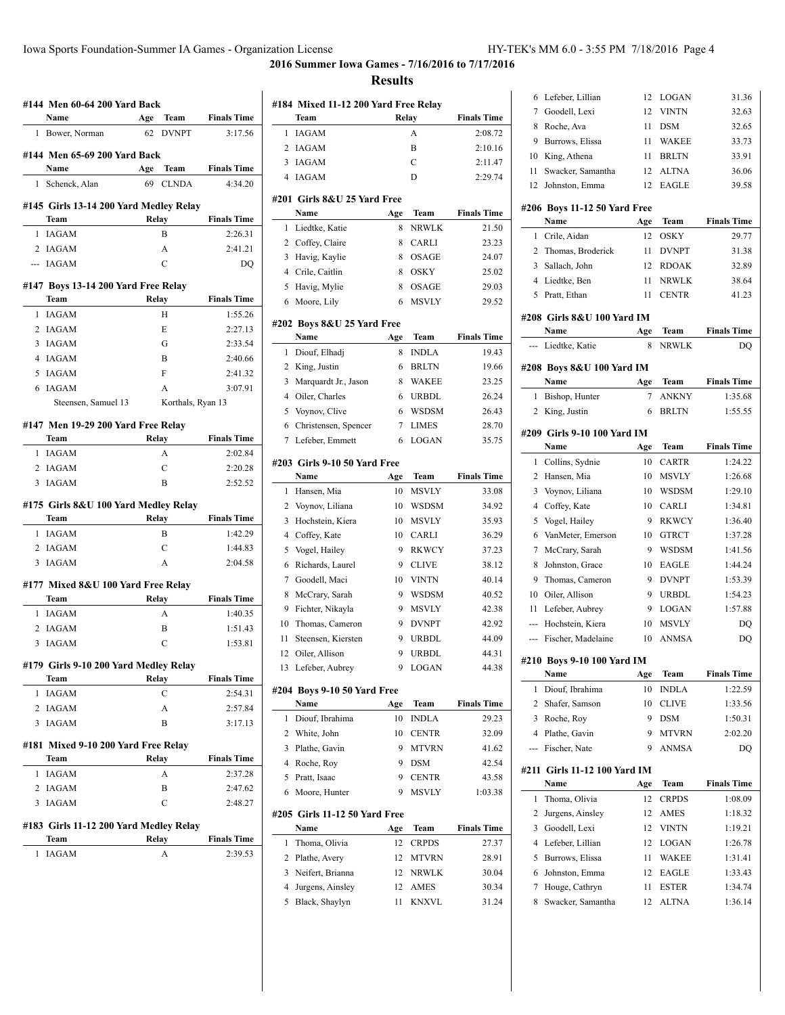## **2016 Summer Iowa Games - 7/16/2016 to 7/17/2016**

| #144  Men 60-64 200 Yard Back          |               |              |                    |
|----------------------------------------|---------------|--------------|--------------------|
| Name                                   | Age           | Team         | <b>Finals Time</b> |
| 1<br>Bower, Norman                     | 62            | <b>DVNPT</b> | 3:17.56            |
| #144 Men 65-69 200 Yard Back           |               |              |                    |
| Name                                   | Age           | Team         | <b>Finals Time</b> |
| 1<br>Schenck, Alan                     | 69            | <b>CLNDA</b> | 4:34.20            |
| #145 Girls 13-14 200 Yard Medley Relay |               |              |                    |
| Team                                   | Relay         |              | <b>Finals Time</b> |
| <b>IAGAM</b><br>1                      | B             |              | 2:26.31            |
| 2 IAGAM                                | A             |              | 2:41.21            |
| --- IAGAM                              | $\mathcal{C}$ |              | DO                 |
| #147 Boys 13-14 200 Yard Free Relay    |               |              |                    |
| Team                                   | Relay         |              | <b>Finals Time</b> |
| 1 IAGAM                                | Н             |              | 1:55.26            |
| 2 IAGAM                                | E             |              | 2:27.13            |
| 3<br>IAGAM                             | G             |              | 2:33.54            |
| 4 IAGAM                                | B             |              | 2:40.66            |
| IAGAM<br>5                             | F             |              | 2:41.32            |
| 6<br>IAGAM                             | A             |              | 3:07.91            |
| Steensen, Samuel 13                    |               |              | Korthals, Ryan 13  |
| #147 Men 19-29 200 Yard Free Relay     |               |              |                    |
| Team                                   | Relay         |              | <b>Finals Time</b> |
| 1 IAGAM                                | А             |              | 2:02.84            |
| 2<br>IAGAM                             | C             |              | 2:20.28            |
| <b>IAGAM</b><br>3                      | B             |              | 2:52.52            |
| #175 Girls 8&U 100 Yard Medley Relay   |               |              |                    |
| Team                                   | Relay         |              | <b>Finals Time</b> |
| 1 IAGAM                                | В             |              | 1:42.29            |
| 2 IAGAM                                | $\mathcal{C}$ |              | 1:44.83            |
| <b>IAGAM</b><br>3                      | A             |              | 2:04.58            |
| #177 Mixed 8&U 100 Yard Free Relay     |               |              |                    |
| Team                                   | Relay         |              | <b>Finals Time</b> |
| 1<br><b>IAGAM</b>                      | А             |              | 1:40.35            |
| IAGAM<br>2                             | B             |              | 1:51.43            |
| IAGAM<br>3                             | C             |              | 1:53.81            |
| #179 Girls 9-10 200 Yard Medley Relay  |               |              |                    |
| Team                                   | Relay         |              | <b>Finals Time</b> |
| <b>IAGAM</b><br>1                      | С             |              | 2:54.31            |
| 2<br><b>IAGAM</b>                      | A             |              | 2:57.84            |
| 3<br><b>IAGAM</b>                      | Β             |              | 3:17.13            |
|                                        |               |              |                    |
| #181  Mixed 9-10 200 Yard Free Relay   |               |              | <b>Finals Time</b> |
| Team<br><b>IAGAM</b><br>1              | Relay         |              | 2:37.28            |
| 2                                      | A<br>В        |              |                    |
| IAGAM<br><b>IAGAM</b>                  |               |              | 2:47.62            |
| 3                                      | C             |              | 2:48.27            |
| #183 Girls 11-12 200 Yard Medley Relay |               |              |                    |
| Team                                   | Relay         |              | <b>Finals Time</b> |
| 1<br>IAGAM                             | А             |              | 2:39.53            |
|                                        |               |              |                    |

|                | #184 Mixed 11-12 200 Yard Free Relay<br>Team | Relay    |                      | <b>Finals Time</b> |
|----------------|----------------------------------------------|----------|----------------------|--------------------|
| 1              | <b>IAGAM</b>                                 |          | A                    | 2:08.72            |
| 2              | <b>IAGAM</b>                                 |          | B                    | 2:10.16            |
| 3              | <b>IAGAM</b>                                 |          | C                    | 2:11.47            |
| 4              | <b>IAGAM</b>                                 |          | D                    | 2:29.74            |
|                |                                              |          |                      |                    |
|                | #201 Girls 8&U 25 Yard Free                  |          |                      |                    |
|                | Name                                         | Age      | Team                 | <b>Finals Time</b> |
| 1              | Liedtke, Katie                               | 8        | <b>NRWLK</b>         | 21.50              |
| 2              | Coffey, Claire                               | 8        | <b>CARLI</b>         | 23.23              |
| 3              | Havig, Kaylie                                | 8        | <b>OSAGE</b>         | 24.07              |
| 4              | Crile, Caitlin                               | 8        | <b>OSKY</b>          | 25.02              |
| 5              | Havig, Mylie                                 | 8        | OSAGE                | 29.03              |
| 6              | Moore, Lily                                  | 6        | <b>MSVLY</b>         | 29.52              |
|                | #202 Boys 8&U 25 Yard Free                   |          |                      |                    |
|                | Name                                         | Age      | Team                 | <b>Finals Time</b> |
| 1              | Diouf, Elhadj                                | 8        | <b>INDLA</b>         | 19.43              |
| 2              | King, Justin                                 | 6        | <b>BRLTN</b>         | 19.66              |
| 3              | Marquardt Jr., Jason                         | 8        | WAKEE                | 23.25              |
| 4              | Oiler, Charles                               | 6        | <b>URBDL</b>         | 26.24              |
| 5              | Voynov, Clive                                | 6        | <b>WSDSM</b>         | 26.43              |
| 6              | Christensen, Spencer                         | 7        | <b>LIMES</b>         | 28.70              |
| 7              | Lefeber, Emmett                              | 6        | LOGAN                | 35.75              |
|                |                                              |          |                      |                    |
|                | #203 Girls 9-10 50 Yard Free<br>Name         |          |                      | <b>Finals Time</b> |
|                |                                              | Age      | Team                 |                    |
| 1              | Hansen, Mia                                  | 10       | <b>MSVLY</b>         | 33.08              |
| 2              | Voynov, Liliana                              | 10       | <b>WSDSM</b>         | 34.92              |
| 3              | Hochstein, Kiera                             | 10       | <b>MSVLY</b>         | 35.93              |
| 4              | Coffey, Kate                                 | 10       | <b>CARLI</b>         | 36.29              |
| 5              | Vogel, Hailey                                | 9        | <b>RKWCY</b>         | 37.23              |
| 6              | Richards, Laurel                             | 9        | <b>CLIVE</b>         | 38.12              |
| 7              | Goodell, Maci                                | 10       | <b>VINTN</b>         | 40.14              |
| 8              | McCrary, Sarah                               | 9        | <b>WSDSM</b>         | 40.52              |
| 9              | Fichter, Nikayla                             | 9        | <b>MSVLY</b>         | 42.38              |
| 10             | Thomas, Cameron                              | 9        | <b>DVNPT</b>         | 42.92              |
| 11             | Steensen, Kiersten                           | 9        | <b>URBDL</b>         | 44.09              |
| 12             | Oiler, Allison                               | 9        | <b>URBDL</b>         | 44.31              |
| 13             | Lefeber, Aubrey                              | 9        | LOGAN                | 44.38              |
|                | #204 Boys 9-10 50 Yard Free                  |          |                      |                    |
|                | Name                                         | Age      | Team                 | <b>Finals Time</b> |
| 1              | Diouf, Ibrahima                              | 10       | <b>INDLA</b>         | 29.23              |
| $\overline{2}$ | White, John                                  | 10       | <b>CENTR</b>         | 32.09              |
| 3              | Plathe, Gavin                                | 9        | MTVRN                | 41.62              |
| $\overline{4}$ | Roche, Roy                                   | 9        | <b>DSM</b>           | 42.54              |
| 5              | Pratt, Isaac                                 | 9        | <b>CENTR</b>         | 43.58              |
| 6              | Moore, Hunter                                | 9        | MSVLY                | 1:03.38            |
|                |                                              |          |                      |                    |
|                | #205 Girls 11-12 50 Yard Free<br>Name        | Age      | Team                 | <b>Finals Time</b> |
| 1              | Thoma, Olivia                                | 12       | <b>CRPDS</b>         | 27.37              |
| 2              |                                              | 12       |                      |                    |
|                | Plathe, Avery                                |          | MTVRN                | 28.91              |
| 3              | Neifert, Brianna                             | 12       | <b>NRWLK</b>         | 30.04              |
| 4              | Jurgens, Ainsley                             | 12<br>11 | AMES<br><b>KNXVL</b> | 30.34<br>31.24     |
| 5              | Black, Shaylyn                               |          |                      |                    |

| 6              | Lefeber, Lillian                    | 12       | LOGAN                        | 31.36              |
|----------------|-------------------------------------|----------|------------------------------|--------------------|
| 7              | Goodell, Lexi                       | 12       | <b>VINTN</b>                 | 32.63              |
| 8              | Roche, Ava                          | 11       | <b>DSM</b>                   | 32.65              |
| 9              | Burrows, Elissa                     | 11       | <b>WAKEE</b>                 | 33.73              |
| 10             | King, Athena                        | 11       | <b>BRLTN</b>                 | 33.91              |
| 11             | Swacker, Samantha                   | 12       | <b>ALTNA</b>                 | 36.06              |
| 12             | Johnston, Emma                      | 12       | <b>EAGLE</b>                 | 39.58              |
|                | #206 Boys 11-12 50 Yard Free        |          |                              |                    |
|                | Name                                | Age      | Team                         | <b>Finals Time</b> |
| 1              | Crile, Aidan                        | 12       | OSKY                         | 29.77              |
| 2              | Thomas, Broderick                   | 11       | <b>DVNPT</b>                 | 31.38              |
| 3              | Sallach, John                       | 12       | <b>RDOAK</b>                 | 32.89              |
| 4              | Liedtke, Ben                        | 11       | <b>NRWLK</b>                 | 38.64              |
| 5              | Pratt, Ethan                        | 11       | <b>CENTR</b>                 | 41.23              |
|                |                                     |          |                              |                    |
|                | #208  Girls 8&U 100 Yard IM<br>Name |          | Team                         | <b>Finals Time</b> |
| ---            | Liedtke, Katie                      | Age<br>8 | <b>NRWLK</b>                 | DQ                 |
|                |                                     |          |                              |                    |
|                | #208 Boys 8&U 100 Yard IM           |          |                              |                    |
|                | Name                                | Age      | Team                         | <b>Finals Time</b> |
| 1              | Bishop, Hunter                      | 7        | <b>ANKNY</b>                 | 1:35.68            |
| 2              | King, Justin                        | 6        | <b>BRLTN</b>                 | 1:55.55            |
|                | #209 Girls 9-10 100 Yard IM         |          |                              |                    |
|                | Name                                | Age      | <b>Team</b>                  | <b>Finals Time</b> |
| 1              | Collins, Sydnie                     | 10       | <b>CARTR</b>                 | 1:24.22            |
| 2              | Hansen, Mia                         | 10       | <b>MSVLY</b>                 | 1:26.68            |
| 3              | Voynov, Liliana                     | 10       | WSDSM                        | 1:29.10            |
| 4              | Coffey, Kate                        | 10       | <b>CARLI</b>                 | 1:34.81            |
| 5              | Vogel, Hailey                       | 9        | <b>RKWCY</b>                 | 1:36.40            |
| 6              | VanMeter, Emerson                   | 10       | <b>GTRCT</b>                 | 1:37.28            |
| 7              | McCrary, Sarah                      | 9        | <b>WSDSM</b>                 | 1:41.56            |
| 8              | Johnston, Grace                     | 10       | EAGLE                        | 1:44.24            |
| 9              | Thomas, Cameron                     | 9        | <b>DVNPT</b>                 | 1:53.39            |
| 10             | Oiler, Allison                      | 9        | <b>URBDL</b>                 | 1:54.23            |
| 11             | Lefeber, Aubrey                     | 9        | LOGAN                        | 1:57.88            |
| ---            | Hochstein, Kiera                    | 10       | <b>MSVLY</b>                 | DQ                 |
| ---            | Fischer, Madelaine                  | 10       | <b>ANMSA</b>                 | DQ                 |
|                | #210 Bovs 9-10 100 Yard IM          |          |                              |                    |
|                | Name                                | Age      | Team                         | <b>Finals Time</b> |
| 1              | Diouf, Ibrahima                     | 10       | <b>INDLA</b>                 | 1:22.59            |
| 2              |                                     |          |                              |                    |
|                | Shafer, Samson                      | 10       | <b>CLIVE</b>                 | 1:33.56            |
| 3              | Roche, Roy                          | 9        | <b>DSM</b>                   |                    |
| $\overline{4}$ |                                     |          |                              | 1:50.31            |
| ---            | Plathe, Gavin<br>Fischer, Nate      | 9<br>9   | <b>MTVRN</b><br><b>ANMSA</b> | 2:02.20<br>DQ      |
|                |                                     |          |                              |                    |
|                | #211 Girls 11-12 100 Yard IM        |          |                              |                    |
|                | Name                                | Age      | Team                         | <b>Finals Time</b> |
| 1              | Thoma, Olivia                       | 12       | <b>CRPDS</b>                 | 1:08.09            |
| 2              | Jurgens, Ainsley                    | 12       | AMES                         | 1:18.32            |
| 3              | Goodell, Lexi                       | 12       | <b>VINTN</b>                 | 1:19.21            |
| 4              | Lefeber, Lillian                    | 12       | LOGAN                        | 1:26.78            |
| 5              | Burrows, Elissa                     | 11       | WAKEE                        | 1:31.41            |
| 6              | Johnston, Emma                      | 12       | EAGLE                        | 1:33.43            |
| 7              | Houge, Cathryn                      | 11       | <b>ESTER</b>                 | 1:34.74            |
| 8              | Swacker, Samantha                   | 12       | ALTNA                        | 1:36.14            |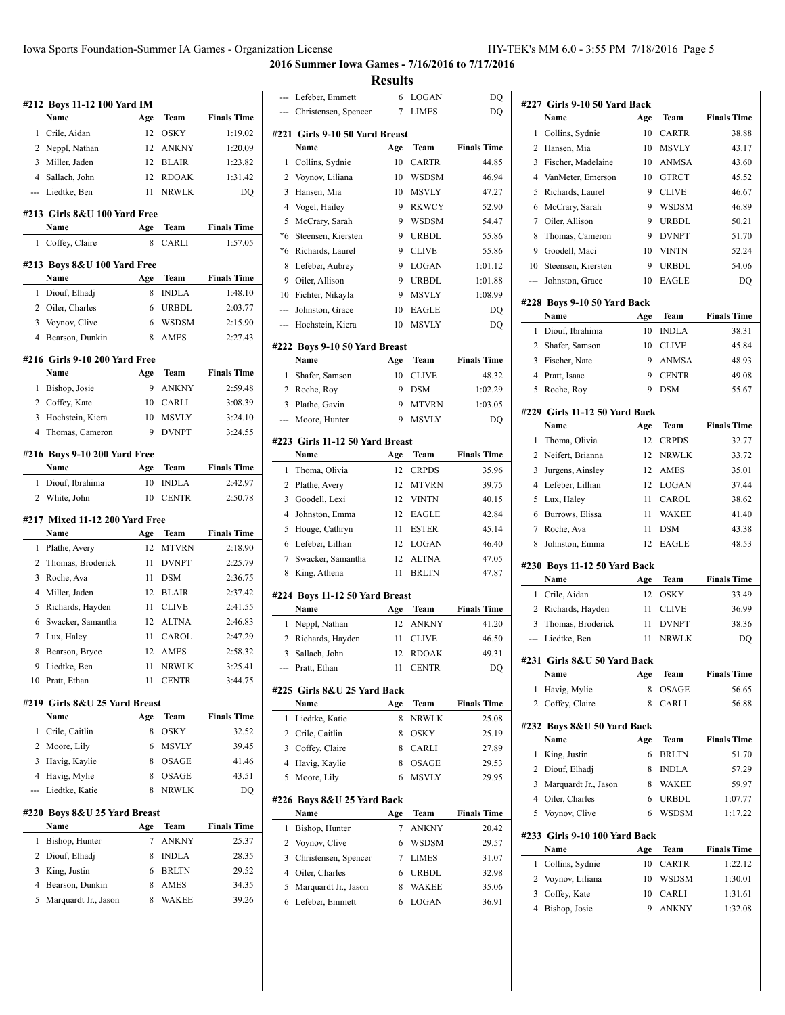**2016 Summer Iowa Games - 7/16/2016 to 7/17/2016**

|                | #212 Boys 11-12 100 Yard IM         |     |              |                    |
|----------------|-------------------------------------|-----|--------------|--------------------|
|                | Name                                | Age | Team         | <b>Finals Time</b> |
| 1              | Crile, Aidan                        | 12  | OSKY         | 1:19.02            |
| 2              | Neppl, Nathan                       | 12  | <b>ANKNY</b> | 1:20.09            |
| 3              | Miller, Jaden                       | 12  | <b>BLAIR</b> | 1:23.82            |
| $\overline{4}$ | Sallach, John                       | 12  | <b>RDOAK</b> | 1:31.42            |
| ---            | Liedtke, Ben                        | 11  | <b>NRWLK</b> | DO                 |
|                | #213  Girls 8&U 100 Yard Free       |     |              |                    |
|                | Name                                | Age | Team         | <b>Finals Time</b> |
| 1              | Coffey, Claire                      | 8   | CARLI        | 1:57.05            |
|                |                                     |     |              |                    |
|                | #213 Boys 8&U 100 Yard Free<br>Name | Age | Team         | <b>Finals Time</b> |
| 1              | Diouf, Elhadj                       | 8   | <b>INDLA</b> | 1:48.10            |
|                | 2 Oiler, Charles                    | 6   | <b>URBDL</b> | 2:03.77            |
| 3              | Voynov, Clive                       | 6   | WSDSM        | 2:15.90            |
| 4              | Bearson, Dunkin                     | 8   | <b>AMES</b>  | 2:27.43            |
|                |                                     |     |              |                    |
|                | #216 Girls 9-10 200 Yard Free       |     |              |                    |
|                | Name                                | Age | Team         | <b>Finals Time</b> |
| 1              | Bishop, Josie                       | 9   | <b>ANKNY</b> | 2:59.48            |
|                | 2 Coffey, Kate                      | 10  | <b>CARLI</b> | 3:08.39            |
| 3              | Hochstein, Kiera                    | 10  | <b>MSVLY</b> | 3:24.10            |
| 4              | Thomas, Cameron                     | 9   | <b>DVNPT</b> | 3:24.55            |
|                | #216 Boys 9-10 200 Yard Free        |     |              |                    |
|                | Name                                | Age | Team         | <b>Finals Time</b> |
| 1              | Diouf, Ibrahima                     | 10  | <b>INDLA</b> | 2:42.97            |
| 2              | White, John                         | 10  | <b>CENTR</b> | 2:50.78            |
|                | #217 Mixed 11-12 200 Yard Free      |     |              |                    |
|                | Name                                | Age | Team         | <b>Finals Time</b> |
| 1              | Plathe, Avery                       | 12  | <b>MTVRN</b> | 2:18.90            |
| 2              | Thomas, Broderick                   | 11  | <b>DVNPT</b> | 2:25.79            |
| 3              | Roche, Ava                          | 11  | <b>DSM</b>   | 2:36.75            |
| 4              | Miller, Jaden                       | 12  | <b>BLAIR</b> | 2:37.42            |
| 5              | Richards, Hayden                    | 11  | <b>CLIVE</b> | 2:41.55            |
| 6              | Swacker, Samantha                   | 12  | <b>ALTNA</b> | 2:46.83            |
| 7              | Lux, Haley                          | 11  | CAROL        | 2:47.29            |
| 8              | Bearson, Bryce                      | 12  | AMES         | 2:58.32            |
| 9              | Liedtke, Ben                        |     | 11 NRWLK     | 3:25.41            |
|                | 10 Pratt, Ethan                     | 11  | <b>CENTR</b> | 3:44.75            |
|                | #219 Girls 8&U 25 Yard Breast       |     |              |                    |
|                | Name                                | Age | Team         | <b>Finals Time</b> |
| 1              | Crile, Caitlin                      | 8   | OSKY         | 32.52              |
|                |                                     |     |              |                    |
|                | 2 Moore, Lily                       | 6   | MSVLY        | 39.45              |
| 3              | Havig, Kaylie                       | 8   | OSAGE        | 41.46              |
| 4              | Havig, Mylie                        | 8   | OSAGE        | 43.51              |
| ---            | Liedtke, Katie                      | 8   | <b>NRWLK</b> | DQ                 |
|                |                                     |     |              |                    |
|                | #220 Boys 8&U 25 Yard Breast        |     |              |                    |
|                | Name                                | Age | Team         | <b>Finals Time</b> |
| 1              | Bishop, Hunter                      | 7   | ANKNY        | 25.37              |
| 2              | Diouf, Elhadj                       | 8   | <b>INDLA</b> | 28.35              |
| 3              | King, Justin                        | 6   | <b>BRLTN</b> | 29.52              |
| 4              | Bearson, Dunkin                     | 8   | AMES         | 34.35              |
| 5              | Marquardt Jr., Jason                | 8   | WAKEE        | 39.26              |

|                |                                        | <b>Results</b> |              |                    |
|----------------|----------------------------------------|----------------|--------------|--------------------|
|                | Lefeber, Emmett                        | 6              | LOGAN        | DQ                 |
|                | Christensen, Spencer                   | 7              | <b>LIMES</b> | DQ                 |
|                |                                        |                |              |                    |
|                | #221 Girls 9-10 50 Yard Breast<br>Name |                | Team         | <b>Finals Time</b> |
| 1              |                                        | Age<br>10      | <b>CARTR</b> | 44.85              |
| 2              | Collins, Sydnie                        | 10             | <b>WSDSM</b> | 46.94              |
| 3              | Voynov, Liliana<br>Hansen, Mia         | 10             | <b>MSVLY</b> | 47.27              |
| 4              | Vogel, Hailey                          | 9              | <b>RKWCY</b> | 52.90              |
| 5              | McCrary, Sarah                         | 9              | <b>WSDSM</b> | 54.47              |
| *6             | Steensen, Kiersten                     | 9              | <b>URBDL</b> | 55.86              |
| *6             | Richards, Laurel                       | 9              | <b>CLIVE</b> | 55.86              |
| 8              | Lefeber, Aubrey                        | 9              | LOGAN        | 1:01.12            |
| 9              | Oiler, Allison                         | 9              | <b>URBDL</b> | 1:01.88            |
| 10             | Fichter, Nikayla                       | 9              | <b>MSVLY</b> | 1:08.99            |
| ---            | Johnston, Grace                        | 10             | <b>EAGLE</b> | DQ                 |
| ---            | Hochstein, Kiera                       | 10             | <b>MSVLY</b> | DQ                 |
|                |                                        |                |              |                    |
|                | #222 Boys 9-10 50 Yard Breast          |                |              |                    |
|                | Name                                   | Age            | Team         | <b>Finals Time</b> |
| 1              | Shafer, Samson                         | 10             | <b>CLIVE</b> | 48.32              |
| 2              | Roche, Roy                             | 9              | DSM          | 1:02.29            |
| 3              | Plathe, Gavin                          | 9              | <b>MTVRN</b> | 1:03.05            |
| ---            | Moore, Hunter                          | 9              | <b>MSVLY</b> | DO                 |
|                | #223 Girls 11-12 50 Yard Breast        |                |              |                    |
|                | Name                                   | Age            | Team         | <b>Finals Time</b> |
| 1              | Thoma, Olivia                          | 12             | <b>CRPDS</b> | 35.96              |
| 2              | Plathe, Avery                          | 12             | <b>MTVRN</b> | 39.75              |
| 3              | Goodell, Lexi                          | 12             | <b>VINTN</b> | 40.15              |
| 4              | Johnston, Emma                         | 12             | <b>EAGLE</b> | 42.84              |
| 5              | Houge, Cathryn                         | 11             | <b>ESTER</b> | 45.14              |
| 6              | Lefeber, Lillian                       | 12             | LOGAN        | 46.40              |
| 7              | Swacker, Samantha                      | 12             | <b>ALTNA</b> | 47.05              |
| 8              | King, Athena                           | 11             | <b>BRLTN</b> | 47.87              |
|                |                                        |                |              |                    |
|                | #224 Boys 11-12 50 Yard Breast         |                |              |                    |
|                | Name                                   | Age            | Team         | <b>Finals Time</b> |
| 1              | Neppl, Nathan                          | 12             | <b>ANKNY</b> | 41.20              |
| 2              | Richards, Hayden                       | 11             | <b>CLIVE</b> | 46.50              |
| 3              | Sallach, John                          | 12             | RDOAK        | 49.31              |
| ---            | Pratt, Ethan                           | 11             | <b>CENTR</b> | DQ                 |
|                | #225 Girls 8&U 25 Yard Back            |                |              |                    |
|                | Name                                   | Age            | Team         | <b>Finals Time</b> |
| 1              | Liedtke, Katie                         | 8              | NRWLK        | 25.08              |
| 2              | Crile, Caitlin                         | 8              | OSKY         | 25.19              |
| 3              | Coffey, Claire                         | 8              | CARLI        | 27.89              |
|                | 4 Havig, Kaylie                        | 8              | OSAGE        | 29.53              |
| 5              | Moore, Lily                            | 6              | <b>MSVLY</b> | 29.95              |
|                |                                        |                |              |                    |
|                | #226 Boys 8&U 25 Yard Back             |                |              |                    |
|                | Name                                   | Age            | Team         | <b>Finals Time</b> |
| 1              | Bishop, Hunter                         | 7              | ANKNY        | 20.42              |
| 2              | Voynov, Clive                          | 6              | <b>WSDSM</b> | 29.57              |
| 3              | Christensen, Spencer                   | 7              | LIMES        | 31.07              |
| $\overline{4}$ | Oiler, Charles                         | 6              | URBDL        | 32.98              |
| 5              | Marquardt Jr., Jason                   | 8              | WAKEE        | 35.06              |
| 6              | Lefeber, Emmett                        | 6              | LOGAN        | 36.91              |
|                |                                        |                |              |                    |
|                |                                        |                |              |                    |

|           | Name                                  | #227 Girls 9-10 50 Yard Back<br>Age | Team                         | <b>Finals Time</b>                                                                                                                                                                                                                                     |
|-----------|---------------------------------------|-------------------------------------|------------------------------|--------------------------------------------------------------------------------------------------------------------------------------------------------------------------------------------------------------------------------------------------------|
| 1         | Collins, Sydnie                       | 10                                  | <b>CARTR</b>                 | 38.88                                                                                                                                                                                                                                                  |
| 2         | Hansen, Mia                           | 10                                  | <b>MSVLY</b>                 | 43.17                                                                                                                                                                                                                                                  |
| 3         | Fischer, Madelaine                    | 10                                  | <b>ANMSA</b>                 | 43.60                                                                                                                                                                                                                                                  |
| 4         | VanMeter, Emerson                     | 10                                  | <b>GTRCT</b>                 | 45.52                                                                                                                                                                                                                                                  |
| 5         | Richards, Laurel                      | 9                                   | <b>CLIVE</b>                 | 46.67                                                                                                                                                                                                                                                  |
| 6         | McCrary, Sarah                        | 9                                   | <b>WSDSM</b>                 | 46.89                                                                                                                                                                                                                                                  |
| 7         | Oiler, Allison                        | 9                                   | <b>URBDL</b>                 | 50.21                                                                                                                                                                                                                                                  |
| 8         | Thomas, Cameron                       | 9                                   | <b>DVNPT</b>                 | 51.70                                                                                                                                                                                                                                                  |
| 9         |                                       | 10                                  |                              | 52.24                                                                                                                                                                                                                                                  |
|           | Goodell, Maci                         | 9                                   | <b>VINTN</b><br><b>URBDL</b> |                                                                                                                                                                                                                                                        |
| 10<br>--- | Steensen, Kiersten<br>Johnston, Grace | 10                                  | <b>EAGLE</b>                 | 54.06<br>DQ                                                                                                                                                                                                                                            |
|           |                                       |                                     |                              |                                                                                                                                                                                                                                                        |
|           | #228 Boys 9-10 50 Yard Back           |                                     |                              | <b>Finals Time</b>                                                                                                                                                                                                                                     |
|           | Name                                  | Age                                 | Team                         |                                                                                                                                                                                                                                                        |
| 1         | Diouf, Ibrahima                       | 10                                  | <b>INDLA</b>                 | 38.31                                                                                                                                                                                                                                                  |
| 2         | Shafer, Samson                        | 10                                  | <b>CLIVE</b>                 | 45.84                                                                                                                                                                                                                                                  |
| 3         | Fischer, Nate                         | 9                                   | <b>ANMSA</b>                 | 48.93                                                                                                                                                                                                                                                  |
| 4         | Pratt, Isaac                          | 9                                   | <b>CENTR</b>                 | 49.08                                                                                                                                                                                                                                                  |
| 5         | Roche, Roy                            | 9                                   | <b>DSM</b>                   | 55.67                                                                                                                                                                                                                                                  |
|           | #229 Girls 11-12 50 Yard Back         |                                     |                              |                                                                                                                                                                                                                                                        |
|           | Name                                  | Age                                 | Team                         | <b>Finals Time</b>                                                                                                                                                                                                                                     |
| 1         | Thoma, Olivia                         | 12                                  | <b>CRPDS</b>                 | 32.77                                                                                                                                                                                                                                                  |
| 2         | Neifert, Brianna                      | 12                                  | <b>NRWLK</b>                 | 33.72                                                                                                                                                                                                                                                  |
| 3         | Jurgens, Ainsley                      | 12                                  | <b>AMES</b>                  | 35.01                                                                                                                                                                                                                                                  |
| 4         | Lefeber, Lillian                      | 12                                  | <b>LOGAN</b>                 | 37.44                                                                                                                                                                                                                                                  |
| 5         | Lux, Haley                            | 11                                  | CAROL                        | 38.62                                                                                                                                                                                                                                                  |
| 6         | Burrows, Elissa                       | 11                                  | <b>WAKEE</b>                 | 41.40                                                                                                                                                                                                                                                  |
|           |                                       |                                     |                              |                                                                                                                                                                                                                                                        |
| 7         | Roche, Ava                            | 11                                  | <b>DSM</b>                   |                                                                                                                                                                                                                                                        |
| 8         | Johnston, Emma                        | 12                                  | EAGLE                        |                                                                                                                                                                                                                                                        |
|           | #230 Boys 11-12 50 Yard Back          |                                     |                              |                                                                                                                                                                                                                                                        |
|           | Name                                  | Age                                 | Team                         |                                                                                                                                                                                                                                                        |
| 1         | Crile, Aidan                          | 12                                  | <b>OSKY</b>                  |                                                                                                                                                                                                                                                        |
| 2         | Richards, Hayden                      | 11                                  | <b>CLIVE</b>                 |                                                                                                                                                                                                                                                        |
| 3         | Thomas, Broderick                     | 11                                  | <b>DVNPT</b>                 |                                                                                                                                                                                                                                                        |
| ---       | Liedtke, Ben                          | 11                                  | <b>NRWLK</b>                 |                                                                                                                                                                                                                                                        |
|           |                                       |                                     |                              |                                                                                                                                                                                                                                                        |
|           | #231 Girls 8&U 50 Yard Back<br>Name   |                                     | Team                         |                                                                                                                                                                                                                                                        |
| 1         |                                       | Age<br>8                            |                              |                                                                                                                                                                                                                                                        |
| 2         | Havig, Mylie<br>Coffey, Claire        | 8                                   | OSAGE<br>CARLI               |                                                                                                                                                                                                                                                        |
|           |                                       |                                     |                              |                                                                                                                                                                                                                                                        |
|           | #232 Boys 8&U 50 Yard Back<br>Name    |                                     |                              |                                                                                                                                                                                                                                                        |
| 1         |                                       | Age<br>6                            | Team                         |                                                                                                                                                                                                                                                        |
|           | King, Justin                          |                                     | <b>BRLTN</b>                 |                                                                                                                                                                                                                                                        |
| 2         | Diouf, Elhadj                         | 8                                   | <b>INDLA</b>                 |                                                                                                                                                                                                                                                        |
| 3         | Marquardt Jr., Jason                  | 8                                   | <b>WAKEE</b>                 |                                                                                                                                                                                                                                                        |
| 4         | Oiler, Charles                        | 6                                   | <b>URBDL</b><br><b>WSDSM</b> |                                                                                                                                                                                                                                                        |
| 5         | Voynov, Clive                         | 6                                   |                              |                                                                                                                                                                                                                                                        |
|           | #233 Girls 9-10 100 Yard Back         |                                     |                              |                                                                                                                                                                                                                                                        |
|           | Name                                  | Age                                 | Team                         |                                                                                                                                                                                                                                                        |
| 1         | Collins, Sydnie                       | 10                                  | CARTR                        |                                                                                                                                                                                                                                                        |
| 2         | Voynov, Liliana                       | 10                                  | WSDSM                        |                                                                                                                                                                                                                                                        |
| 3<br>4    | Coffey, Kate<br>Bishop, Josie         | 10<br>9                             | <b>CARLI</b><br><b>ANKNY</b> | 43.38<br>48.53<br><b>Finals Time</b><br>33.49<br>36.99<br>38.36<br>DQ<br><b>Finals Time</b><br>56.65<br>56.88<br><b>Finals Time</b><br>51.70<br>57.29<br>59.97<br>1:07.77<br>1:17.22<br><b>Finals Time</b><br>1:22.12<br>1:30.01<br>1:31.61<br>1:32.08 |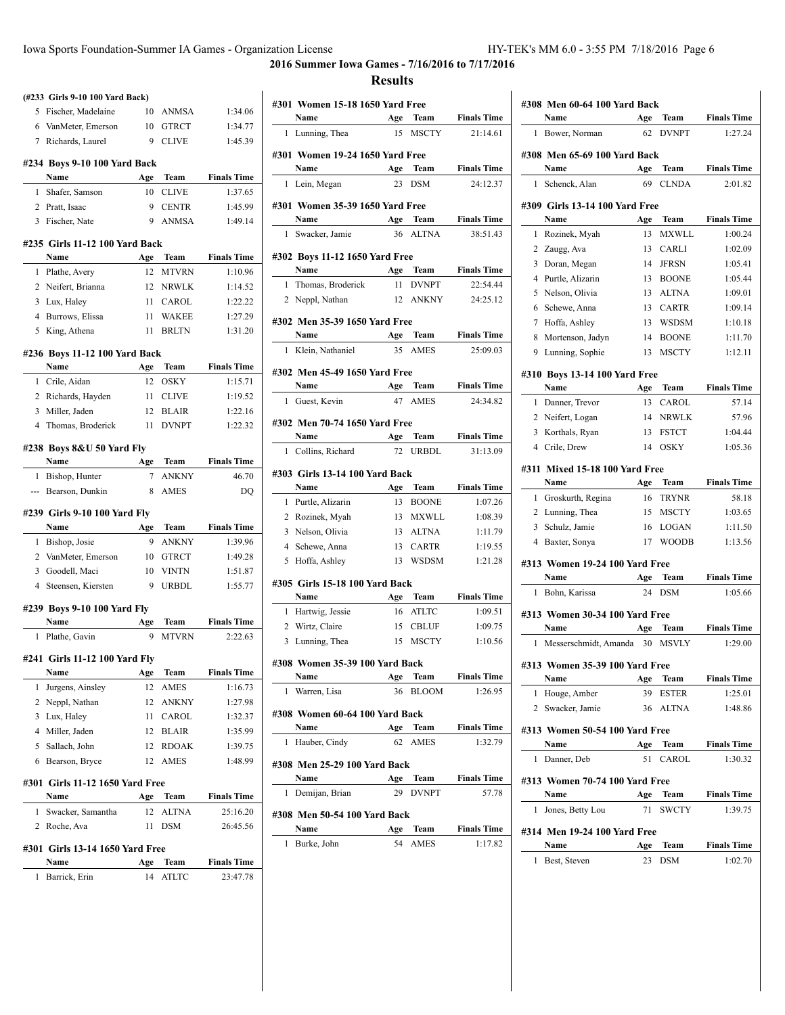**2016 Summer Iowa Games - 7/16/2016 to 7/17/2016**

|   | (#233 Girls 9-10 100 Yard Back) |     |              |                    |
|---|---------------------------------|-----|--------------|--------------------|
|   | 5 Fischer, Madelaine            |     | 10 ANMSA     | 1:34.06            |
|   | 6 VanMeter, Emerson             |     | 10 GTRCT     | 1:34.77            |
|   | 7 Richards, Laurel              | 9   | <b>CLIVE</b> | 1:45.39            |
|   | #234 Boys 9-10 100 Yard Back    |     |              |                    |
|   | Name                            | Age | Team         | <b>Finals Time</b> |
| 1 | Shafer, Samson                  | 10  | CLIVE        | 1:37.65            |
|   | 2 Pratt, Isaac                  | 9   | <b>CENTR</b> | 1:45.99            |
|   | 3 Fischer, Nate                 | 9   | <b>ANMSA</b> | 1:49.14            |
|   | #235 Girls 11-12 100 Yard Back  |     |              |                    |
|   | Name                            | Age | Team         | <b>Finals Time</b> |
| 1 | Plathe, Avery                   | 12  | <b>MTVRN</b> | 1:10.96            |
|   | 2 Neifert, Brianna              |     | 12 NRWLK     | 1:14.52            |
|   | 3 Lux, Haley                    |     | 11 CAROL     | 1:22.22            |
|   | 4 Burrows, Elissa               | 11  | WAKEE        | 1:27.29            |
|   | 5 King, Athena                  | 11  | <b>BRLTN</b> | 1:31.20            |
|   | #236 Boys 11-12 100 Yard Back   |     |              |                    |
|   | Name                            | Age | Team         | <b>Finals Time</b> |
|   | 1 Crile, Aidan                  | 12  | OSKY         | 1:15.71            |
|   | 2 Richards, Hayden              |     | 11 CLIVE     | 1:19.52            |
|   | 3 Miller, Jaden                 |     | 12 BLAIR     | 1:22.16            |
|   | 4 Thomas, Broderick             | 11  | <b>DVNPT</b> | 1:22.32            |
|   | #238 Boys 8&U 50 Yard Fly       |     |              |                    |
|   | Name                            | Age | Team         | <b>Finals Time</b> |
|   |                                 |     |              |                    |
|   | 1 Bishop, Hunter                | 7   | <b>ANKNY</b> | 46.70              |
|   | --- Bearson, Dunkin             | 8   | <b>AMES</b>  | DQ                 |
|   | #239 Girls 9-10 100 Yard Fly    |     |              |                    |
|   | Name                            | Age | Team         | <b>Finals Time</b> |
|   | 1 Bishop, Josie                 | 9   | <b>ANKNY</b> | 1:39.96            |
|   | 2 VanMeter, Emerson             |     | 10 GTRCT     | 1:49.28            |
|   | 3 Goodell, Maci                 | 10  | <b>VINTN</b> | 1:51.87            |
|   | 4 Steensen, Kiersten            | 9   | URBDL        | 1:55.77            |
|   | #239 Boys 9-10 100 Yard Fly     |     |              |                    |
|   | Name                            | Age | Team         | <b>Finals Time</b> |
| 1 | Plathe, Gavin                   | 9   | MTVRN        | 2:22.63            |
|   | #241 Girls 11-12 100 Yard Fly   |     |              |                    |
|   | Name                            | Age | Team         | <b>Finals Time</b> |
| 1 | Jurgens, Ainsley                | 12  | AMES         | 1:16.73            |
| 2 | Neppl, Nathan                   | 12  | <b>ANKNY</b> | 1:27.98            |
| 3 | Lux, Haley                      | 11  | CAROL        | 1:32.37            |
| 4 | Miller, Jaden                   | 12  | BLAIR        | 1:35.99            |
| 5 | Sallach, John                   | 12  | <b>RDOAK</b> | 1:39.75            |
| 6 | Bearson, Bryce                  | 12  | <b>AMES</b>  | 1:48.99            |
|   | #301 Girls 11-12 1650 Yard Free |     |              |                    |
|   | Name                            | Age | Team         | <b>Finals Time</b> |
| 1 | Swacker, Samantha               | 12  | ALTNA        | 25:16.20           |
| 2 | Roche, Ava                      | 11  | DSM          | 26:45.56           |
|   | #301 Girls 13-14 1650 Yard Free |     |              |                    |
|   | Name                            | Age | Team         | <b>Finals Time</b> |

|                | #301 Women 15-18 1650 Yard Free      |           |                     |                               |
|----------------|--------------------------------------|-----------|---------------------|-------------------------------|
|                | Name                                 | Age       | Team                | <b>Finals Time</b>            |
| $\mathbf{1}$   | Lunning, Thea                        | 15        | <b>MSCTY</b>        | 21:14.61                      |
|                | #301 Women 19-24 1650 Yard Free      |           |                     |                               |
|                | Name                                 | Age       | Team                | <b>Finals Time</b>            |
| 1              | Lein, Megan                          | 23        | <b>DSM</b>          | 24:12.37                      |
|                | #301 Women 35-39 1650 Yard Free      |           |                     |                               |
|                | Name                                 | Age       | Team                | <b>Finals Time</b>            |
| 1              | Swacker, Jamie                       | 36        | <b>ALTNA</b>        | 38:51.43                      |
|                | #302 Boys 11-12 1650 Yard Free       |           |                     |                               |
|                | Name                                 | Age       | Team                | <b>Finals Time</b>            |
| 1              | Thomas, Broderick                    | 11        | <b>DVNPT</b>        | 22:54.44                      |
|                | 2 Neppl, Nathan                      | 12        | <b>ANKNY</b>        | 24:25.12                      |
|                |                                      |           |                     |                               |
|                | #302 Men 35-39 1650 Yard Free        |           |                     |                               |
|                | Name                                 | Age       | Team                | <b>Finals Time</b>            |
| 1              | Klein, Nathaniel                     | 35        | <b>AMES</b>         | 25:09.03                      |
|                | #302 Men 45-49 1650 Yard Free        |           |                     |                               |
|                | Name                                 | Age       | <b>Team</b>         | <b>Finals Time</b>            |
| 1              | Guest, Kevin                         | 47        | AMES                | 24:34.82                      |
|                | #302 Men 70-74 1650 Yard Free        |           |                     |                               |
|                | Name                                 | Age       | Team                | <b>Finals Time</b>            |
| 1              | Collins, Richard                     | 72        | <b>URBDL</b>        | 31:13.09                      |
|                | #303  Girls 13-14 100 Yard Back      |           |                     |                               |
|                | Name                                 | Age       | Team                | <b>Finals Time</b>            |
|                | 1 Purtle, Alizarin                   | 13        | <b>BOONE</b>        | 1:07.26                       |
|                | 2 Rozinek, Myah                      | 13        | <b>MXWLL</b>        | 1:08.39                       |
|                | 3 Nelson, Olivia                     | 13        | <b>ALTNA</b>        | 1:11.79                       |
|                | 4 Schewe, Anna                       | 13        | <b>CARTR</b>        | 1:19.55                       |
| 5              | Hoffa, Ashley                        | 13        | <b>WSDSM</b>        | 1:21.28                       |
|                |                                      |           |                     |                               |
|                | #305 Girls 15-18 100 Yard Back       |           |                     |                               |
|                | Name                                 | Age       | Team                | <b>Finals Time</b>            |
| 1              | Hartwig, Jessie                      | 16        | <b>ATLTC</b>        | 1:09.51                       |
| $\overline{c}$ | Wirtz, Claire                        | 15        | <b>CBLUF</b>        | 1:09.75                       |
| 3              | Lunning, Thea                        | 15        | <b>MSCTY</b>        | 1:10.56                       |
|                | #308 Women 35-39 100 Yard Back       |           |                     |                               |
|                | Name                                 | Age       | Team                | <b>Finals Time</b>            |
| 1              | Warren, Lisa                         | 36        | <b>BLOOM</b>        | 1:26.95                       |
|                | #308 Women 60-64 100 Yard Back       |           |                     |                               |
|                | Name                                 |           | Age Team            | <b>Finals Time</b>            |
| 1              | Hauber, Cindy                        | 62        | AMES                | 1:32.79                       |
|                | #308 Men 25-29 100 Yard Back         |           |                     |                               |
|                | Name                                 | Age       | Team                | <b>Finals Time</b>            |
| 1              | Demijan, Brian                       |           | 29 DVNPT            | 57.78                         |
|                |                                      |           |                     |                               |
|                | #308 Men 50-54 100 Yard Back<br>Name |           |                     |                               |
| 1              | Burke, John                          | Age<br>54 | Team<br><b>AMES</b> | <b>Finals Time</b><br>1:17.82 |
|                |                                      |           |                     |                               |
|                |                                      |           |                     |                               |

|   | Name                                   | Age | Team         | <b>Finals Time</b> |
|---|----------------------------------------|-----|--------------|--------------------|
| 1 | Bower, Norman                          | 62  | <b>DVNPT</b> | 1:27.24            |
|   | #308 Men 65-69 100 Yard Back           |     |              |                    |
|   | Name                                   | Age | Team         | <b>Finals Time</b> |
| 1 | Schenck, Alan                          | 69  | <b>CLNDA</b> | 2:01.82            |
|   | #309 Girls 13-14 100 Yard Free         |     |              |                    |
|   | Name                                   | Age | Team         | <b>Finals Time</b> |
| 1 | Rozinek, Myah                          | 13  | <b>MXWLL</b> | 1:00.24            |
|   | 2 Zaugg, Ava                           | 13  | CARLI        | 1:02.09            |
| 3 | Doran, Megan                           | 14  | <b>JFRSN</b> | 1:05.41            |
|   | 4 Purtle, Alizarin                     |     | 13 BOONE     | 1:05.44            |
| 5 | Nelson, Olivia                         | 13  | <b>ALTNA</b> | 1:09.01            |
|   | 6 Schewe, Anna                         | 13  | <b>CARTR</b> | 1:09.14            |
|   | 7 Hoffa, Ashley                        | 13  | <b>WSDSM</b> | 1:10.18            |
|   | 8 Mortenson, Jadyn                     | 14  | <b>BOONE</b> | 1:11.70            |
|   | 9 Lunning, Sophie                      | 13  | <b>MSCTY</b> | 1:12.11            |
|   | #310 Boys 13-14 100 Yard Free          |     |              |                    |
|   | Name                                   | Age | Team         | <b>Finals Time</b> |
| 1 | Danner, Trevor                         | 13  | CAROL        | 57.14              |
|   | 2 Neifert, Logan                       |     | 14 NRWLK     | 57.96              |
|   | 3 Korthals, Ryan                       | 13  | <b>FSTCT</b> | 1:04.44            |
|   | 4 Crile, Drew                          | 14  | <b>OSKY</b>  | 1:05.36            |
|   |                                        |     |              |                    |
|   | #311 Mixed 15-18 100 Yard Free<br>Name | Age | Team         | <b>Finals Time</b> |
| 1 | Groskurth, Regina                      | 16  | <b>TRYNR</b> | 58.18              |
|   | 2 Lunning, Thea                        | 15  | <b>MSCTY</b> | 1:03.65            |
| 3 | Schulz, Jamie                          | 16  | <b>LOGAN</b> | 1:11.50            |
|   | 4 Baxter, Sonya                        | 17  | <b>WOODB</b> | 1:13.56            |
|   |                                        |     |              |                    |
|   | #313 Women 19-24 100 Yard Free         |     |              |                    |
|   | Name                                   | Age | Team         | <b>Finals Time</b> |
|   |                                        |     |              |                    |
| 1 | Bohn, Karissa                          | 24  | <b>DSM</b>   | 1:05.66            |
|   | #313 Women 30-34 100 Yard Free         |     |              |                    |
|   | Name                                   | Age | Team         | <b>Finals Time</b> |
| 1 | Messerschmidt, Amanda                  |     | 30 MSVLY     | 1:29.00            |
|   |                                        |     |              |                    |
|   | #313 Women 35-39 100 Yard Free<br>Name | Age | Team         | <b>Finals Time</b> |
|   | 1 Houge, Amber                         | 39  | ESTER        | 1:25.01            |
|   | 2 Swacker, Jamie                       | 36  | <b>ALTNA</b> | 1:48.86            |
|   |                                        |     |              |                    |
|   | #313 Women 50-54 100 Yard Free         |     |              |                    |
|   | Name                                   | Age | Team         | <b>Finals Time</b> |
| 1 | Danner, Deb                            | 51  | CAROL        | 1:30.32            |
|   | #313 Women 70-74 100 Yard Free         |     |              |                    |
|   | Name                                   | Age | Team         | <b>Finals Time</b> |
| 1 | Jones, Betty Lou                       | 71  | <b>SWCTY</b> | 1:39.75            |
|   | #314 Men 19-24 100 Yard Free           |     |              |                    |
|   | Name                                   | Age | Team         | <b>Finals Time</b> |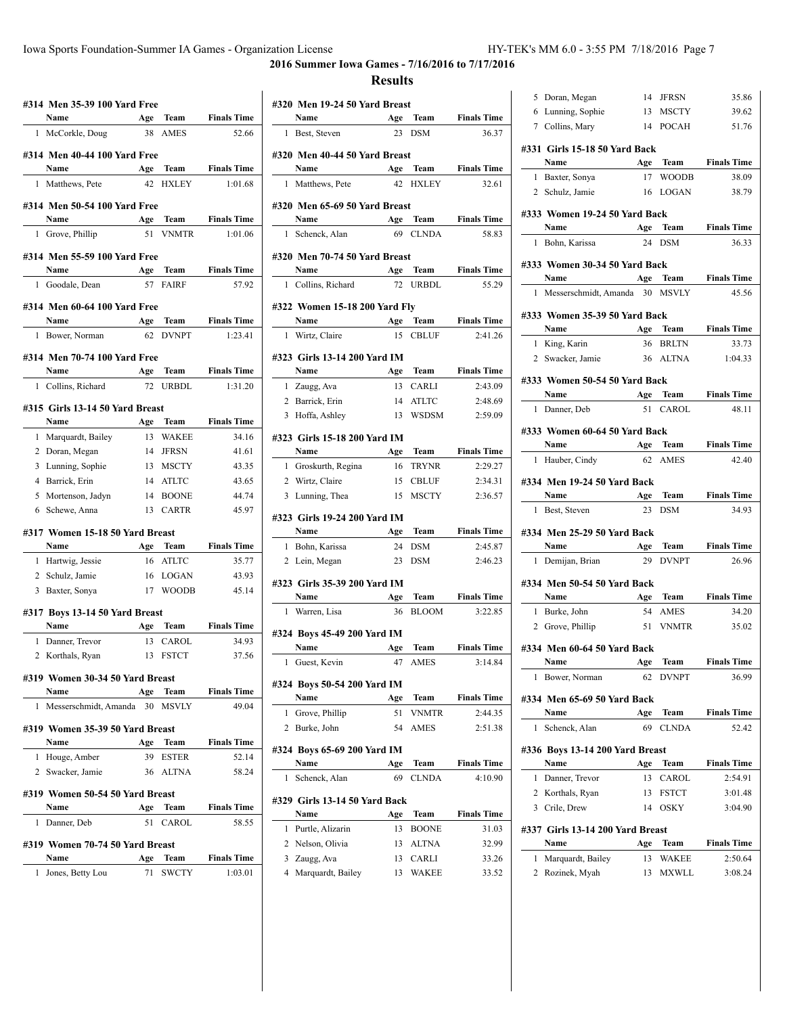**2016 Summer Iowa Games - 7/16/2016 to 7/17/2016**

|                | #314 Men 35-39 100 Yard Free            |           |                     |                             |
|----------------|-----------------------------------------|-----------|---------------------|-----------------------------|
|                | Name                                    | Age       | Team<br><b>AMES</b> | <b>Finals Time</b>          |
| 1              | McCorkle, Doug                          | 38        |                     | 52.66                       |
|                | #314 Men 40-44 100 Yard Free            |           |                     |                             |
|                | Name                                    | Age       | <b>Team</b>         | <b>Finals Time</b>          |
| 1              | Matthews, Pete                          | 42        | <b>HXLEY</b>        | 1:01.68                     |
|                | #314 Men 50-54 100 Yard Free            |           |                     |                             |
|                | Name                                    | Age       | Team                | <b>Finals Time</b>          |
| 1              | Grove, Phillip                          | 51        | <b>VNMTR</b>        | 1:01.06                     |
|                |                                         |           |                     |                             |
|                | #314 Men 55-59 100 Yard Free<br>Name    | Age       | Team                | <b>Finals Time</b>          |
| 1              | Goodale, Dean                           |           | 57 FAIRF            | 57.92                       |
|                |                                         |           |                     |                             |
|                | #314 Men 60-64 100 Yard Free            |           |                     |                             |
|                | Name                                    | Age       | Team                | <b>Finals Time</b>          |
| 1              | Bower, Norman                           | 62        | <b>DVNPT</b>        | 1:23.41                     |
|                | #314 Men 70-74 100 Yard Free            |           |                     |                             |
|                | Name                                    | Age       | Team                | <b>Finals Time</b>          |
| 1              | Collins, Richard                        | 72        | <b>URBDL</b>        | 1:31.20                     |
|                | #315 Girls 13-14 50 Yard Breast         |           |                     |                             |
|                | Name                                    | Age       | Team                | <b>Finals Time</b>          |
| 1              | Marquardt, Bailey                       | 13        | <b>WAKEE</b>        | 34.16                       |
| $\mathbf{2}$   | Doran, Megan                            |           | 14 JFRSN            | 41.61                       |
|                | 3 Lunning, Sophie                       | 13        | MSCTY               | 43.35                       |
|                | 4 Barrick, Erin                         | 14        | ATLTC               | 43.65                       |
|                | 5 Mortenson, Jadyn                      | 14        | <b>BOONE</b>        | 44.74                       |
| 6              | Schewe, Anna                            | 13        | <b>CARTR</b>        | 45.97                       |
|                |                                         |           |                     |                             |
|                | #317 Women 15-18 50 Yard Breast<br>Name |           | Age Team            | <b>Finals Time</b>          |
|                | 1 Hartwig, Jessie                       |           | 16 ATLTC            | 35.77                       |
|                | 2 Schulz, Jamie                         | 16        | LOGAN               | 43.93                       |
| 3              | Baxter, Sonya                           | 17        | <b>WOODB</b>        | 45.14                       |
|                |                                         |           |                     |                             |
|                | #317 Boys 13-14 50 Yard Breast          |           |                     |                             |
|                | Name                                    | Age       | Team                | <b>Finals Time</b>          |
| 1              | Danner, Trevor                          |           | 13 CAROL            | 34.93                       |
| 2              | Korthals, Ryan                          | 13        | <b>FSTCT</b>        | 37.56                       |
|                | #319 Women 30-34 50 Yard Breast         |           |                     |                             |
|                | Name                                    | Age       | Team                | <b>Finals Time</b>          |
| 1              | Messerschmidt, Amanda                   | 30        | <b>MSVLY</b>        | 49.04                       |
|                | #319 Women 35-39 50 Yard Breast         |           |                     |                             |
|                | Name                                    | Age       | Team                | <b>Finals Time</b>          |
| 1              | Houge, Amber                            | 39        | <b>ESTER</b>        | 52.14                       |
| $\overline{2}$ | Swacker, Jamie                          | 36        | <b>ALTNA</b>        | 58.24                       |
|                |                                         |           |                     |                             |
|                | #319 Women 50-54 50 Yard Breast<br>Name |           |                     |                             |
| 1              | Danner. Deb                             | Age<br>51 | Team<br>CAROL       | <b>Finals Time</b><br>58.55 |
|                |                                         |           |                     |                             |
|                | #319 Women 70-74 50 Yard Breast         |           |                     |                             |
|                | Name                                    | Age       | Team                | <b>Finals Time</b>          |
| 1              | Jones, Betty Lou                        | 71        | SWCTY               | 1:03.01                     |
|                |                                         |           |                     |                             |

|              | #320 Men 19-24 50 Yard Breast       |           |              |                    |
|--------------|-------------------------------------|-----------|--------------|--------------------|
|              | Name                                | Age       | Team         | <b>Finals Time</b> |
| 1            | Best, Steven                        | 23        | <b>DSM</b>   | 36.37              |
|              |                                     |           |              |                    |
|              | #320 Men 40-44 50 Yard Breast       |           |              |                    |
|              | Name                                | Age       | <b>Team</b>  | <b>Finals Time</b> |
| 1            | Matthews, Pete                      | 42        | <b>HXLEY</b> | 32.61              |
|              | #320 Men 65-69 50 Yard Breast       |           |              |                    |
|              | Name                                | Age       | Team         | <b>Finals Time</b> |
| 1            | Schenck, Alan                       |           | 69 CLNDA     | 58.83              |
|              |                                     |           |              |                    |
|              | #320 Men 70-74 50 Yard Breast       |           |              |                    |
|              | Name                                | Age       | Team         | <b>Finals Time</b> |
|              | 1 Collins, Richard                  | 72        | <b>URBDL</b> | 55.29              |
|              | #322 Women 15-18 200 Yard Fly       |           |              |                    |
|              | Name                                |           | Age Team     | <b>Finals Time</b> |
| $\mathbf{1}$ | Wirtz, Claire                       | 15        | <b>CBLUF</b> | 2:41.26            |
|              |                                     |           |              |                    |
|              | #323 Girls 13-14 200 Yard IM        |           |              |                    |
|              | Name                                | Age       | Team         | <b>Finals Time</b> |
| 1            | Zaugg, Ava                          | 13        | CARLI        | 2:43.09            |
|              | 2 Barrick, Erin                     | 14        | <b>ATLTC</b> | 2:48.69            |
|              | 3 Hoffa, Ashley                     | 13        | <b>WSDSM</b> | 2:59.09            |
|              | #323  Girls 15-18 200 Yard IM       |           |              |                    |
|              | Name                                |           | Age Team     | <b>Finals Time</b> |
|              | 1 Groskurth, Regina                 | 16        | <b>TRYNR</b> | 2:29.27            |
|              | 2 Wirtz, Claire                     | 15        | <b>CBLUF</b> | 2:34.31            |
|              | 3 Lunning, Thea                     | 15        | <b>MSCTY</b> | 2:36.57            |
|              |                                     |           |              |                    |
|              | #323  Girls 19-24 200 Yard IM       |           |              |                    |
|              | Name                                | Age       | Team         | <b>Finals Time</b> |
|              | 1 Bohn, Karissa                     | 24        | <b>DSM</b>   | 2:45.87            |
|              | 2 Lein, Megan                       | 23        | <b>DSM</b>   | 2:46.23            |
|              | #323  Girls 35-39 200 Yard IM       |           |              |                    |
|              | Name                                | Age       | Team         | <b>Finals Time</b> |
| $\mathbf{1}$ | Warren, Lisa                        | 36        | <b>BLOOM</b> | 3:22.85            |
|              |                                     |           |              |                    |
|              | #324 Boys 45-49 200 Yard IM<br>Name |           | Team         | <b>Finals Time</b> |
| 1            |                                     | Age<br>47 | <b>AMES</b>  | 3:14.84            |
|              | Guest, Kevin                        |           |              |                    |
|              | #324 Boys 50-54 200 Yard IM         |           |              |                    |
|              | Name                                | Age       | Team         | <b>Finals Time</b> |
| 1            | Grove, Phillip                      | 51        | <b>VNMTR</b> | 2:44.35            |
| 2            | Burke, John                         | 54        | AMES         | 2:51.38            |
|              |                                     |           |              |                    |
|              | #324 Boys 65-69 200 Yard IM<br>Name | Age       | Team         | <b>Finals Time</b> |
| 1            | Schenck, Alan                       | 69        | <b>CLNDA</b> | 4:10.90            |
|              |                                     |           |              |                    |
|              | #329 Girls 13-14 50 Yard Back       |           |              |                    |
|              | Name                                | Age       | Team         | <b>Finals Time</b> |
| 1            | Purtle, Alizarin                    | 13        | <b>BOONE</b> | 31.03              |
| 2            | Nelson, Olivia                      | 13        | <b>ALTNA</b> | 32.99              |
| 3            | Zaugg, Ava                          | 13        | CARLI        | 33.26              |
| 4            | Marquardt, Bailey                   | 13        | WAKEE        | 33.52              |
|              |                                     |           |              |                    |

| 5 | Doran, Megan                          | 14  | JFRSN        | 35.86              |
|---|---------------------------------------|-----|--------------|--------------------|
|   | 6 Lunning, Sophie                     | 13  | <b>MSCTY</b> | 39.62              |
|   | 7 Collins, Mary                       |     | 14 POCAH     | 51.76              |
|   |                                       |     |              |                    |
|   | #331 Girls 15-18 50 Yard Back         |     |              |                    |
|   | Name                                  | Age | Team         | <b>Finals Time</b> |
|   | 1 Baxter, Sonya                       | 17  | <b>WOODB</b> | 38.09              |
|   | 2 Schulz, Jamie                       |     | 16 LOGAN     | 38.79              |
|   | #333 Women 19-24 50 Yard Back         |     |              |                    |
|   | Name                                  | Age | <b>Team</b>  | <b>Finals Time</b> |
|   | 1 Bohn, Karissa                       | 24  | <b>DSM</b>   | 36.33              |
|   |                                       |     |              |                    |
|   | #333 Women 30-34 50 Yard Back         |     |              |                    |
|   | Age Team<br>Name                      |     |              | <b>Finals Time</b> |
|   | 1 Messerschmidt, Amanda 30 MSVLY      |     |              | 45.56              |
|   |                                       |     |              |                    |
|   | #333 Women 35-39 50 Yard Back<br>Name |     |              | <b>Finals Time</b> |
|   | Age Team                              |     | 36 BRLTN     | 33.73              |
|   | 1 King, Karin                         |     |              |                    |
|   | 2 Swacker, Jamie                      |     | 36 ALTNA     | 1:04.33            |
|   | #333 Women 50-54 50 Yard Back         |     |              |                    |
|   | Name                                  |     | Age Team     | <b>Finals Time</b> |
|   | 1 Danner, Deb                         | 51  | CAROL        | 48.11              |
|   |                                       |     |              |                    |
|   | #333 Women 60-64 50 Yard Back         |     |              |                    |
|   | Name                                  |     | Age Team     | <b>Finals Time</b> |
|   | 1 Hauber, Cindy                       |     | 62 AMES      | 42.40              |
|   | #334 Men 19-24 50 Yard Back           |     |              |                    |
|   | Name<br><b>Example 2</b> Age          |     | Team         | <b>Finals Time</b> |
|   | 1 Best, Steven                        | 23  | <b>DSM</b>   | 34.93              |
|   |                                       |     |              |                    |
|   | #334 Men 25-29 50 Yard Back           |     |              |                    |
|   | Name                                  | Age | Team         | <b>Finals Time</b> |
|   | 1 Demijan, Brian                      | 29  | <b>DVNPT</b> | 26.96              |
|   | #334 Men 50-54 50 Yard Back           |     |              |                    |
|   | Name                                  |     | Age Team     | <b>Finals Time</b> |
|   | 1 Burke, John                         | 54  | AMES         | 34.20              |
|   | 2 Grove, Phillip 51                   |     | <b>VNMTR</b> | 35.02              |
|   |                                       |     |              |                    |
|   | #334 Men 60-64 50 Yard Back           |     |              |                    |
|   | Name                                  | Age | Team         | <b>Finals Time</b> |
| 1 | Bower, Norman                         | 62  | DVNPT        | 36.99              |
|   |                                       |     |              |                    |
|   | #334 Men 65-69 50 Yard Back<br>Name   |     | <b>Team</b>  | <b>Finals Time</b> |
|   |                                       | Age |              |                    |
| 1 | Schenck, Alan                         | 69  | <b>CLNDA</b> | 52.42              |
|   | #336 Boys 13-14 200 Yard Breast       |     |              |                    |
|   | Name                                  | Age | Team         | <b>Finals Time</b> |
| 1 | Danner, Trevor                        | 13  | CAROL        | 2:54.91            |
|   | 2 Korthals, Ryan                      | 13  | <b>FSTCT</b> | 3:01.48            |
|   | 3 Crile, Drew                         | 14  | <b>OSKY</b>  | 3:04.90            |
|   |                                       |     |              |                    |
|   |                                       |     |              |                    |
|   | #337  Girls 13-14 200 Yard Breast     |     |              |                    |
|   | Name                                  | Age | Team         | <b>Finals Time</b> |
| 1 | Marquardt, Bailey                     | 13  | WAKEE        | 2:50.64            |
| 2 | Rozinek, Myah                         | 13  | MXWLL        | 3:08.24            |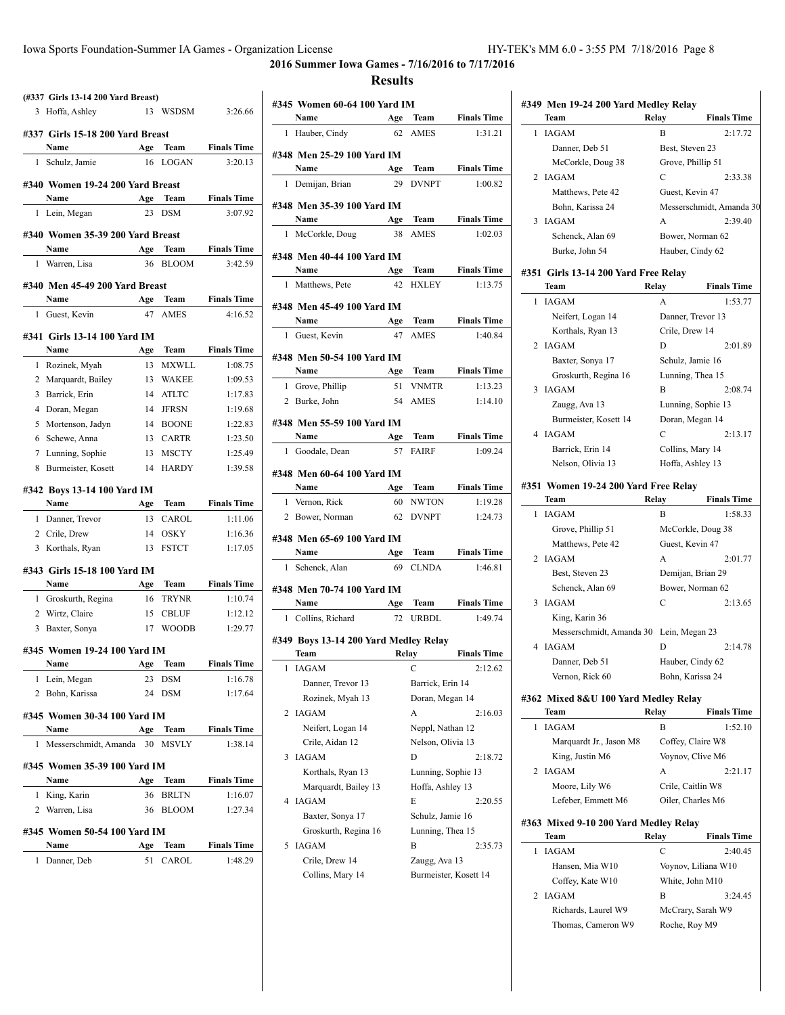$\overline{a}$ 

 $\overline{a}$ 

 $\overline{\phantom{a}}$ 

 $\overline{a}$ 

 $\overline{\phantom{a}}$ 

 $\overline{a}$ 

 $\overline{a}$ 

J.

**2016 Summer Iowa Games - 7/16/2016 to 7/17/2016**

|   | (#337 Girls 13-14 200 Yard Breast)   |           |                              |                    |
|---|--------------------------------------|-----------|------------------------------|--------------------|
| 3 | Hoffa, Ashley                        | 13        | <b>WSDSM</b>                 | 3:26.66            |
|   | #337 Girls 15-18 200 Yard Breast     |           |                              |                    |
|   | Name                                 | Age       | Team                         | <b>Finals Time</b> |
| 1 | Schulz, Jamie                        | 16        | <b>LOGAN</b>                 | 3:20.13            |
|   |                                      |           |                              |                    |
|   | #340 Women 19-24 200 Yard Breast     |           |                              |                    |
|   | Name                                 | Age       | Team                         | <b>Finals Time</b> |
|   | 1 Lein, Megan                        | 23        | <b>DSM</b>                   | 3:07.92            |
|   | #340 Women 35-39 200 Yard Breast     |           |                              |                    |
|   | Name                                 | Age       | Team                         | <b>Finals Time</b> |
| 1 | Warren, Lisa                         | 36        | <b>BLOOM</b>                 | 3:42.59            |
|   | #340 Men 45-49 200 Yard Breast       |           |                              |                    |
|   | <b>Name</b>                          |           | Age Team                     | <b>Finals Time</b> |
|   | 1 Guest, Kevin                       | 47        | <b>AMES</b>                  | 4:16.52            |
|   |                                      |           |                              |                    |
|   | #341 Girls 13-14 100 Yard IM         |           | Team                         |                    |
| 1 | Name                                 | Age       |                              | <b>Finals Time</b> |
|   | Rozinek, Myah                        | 13        | <b>MXWLL</b>                 | 1:08.75            |
| 2 | Marquardt, Bailey                    | 13        | <b>WAKEE</b>                 | 1:09.53            |
| 3 | Barrick, Erin                        | 14        | <b>ATLTC</b>                 | 1:17.83            |
|   | 4 Doran, Megan                       | 14        | <b>JFRSN</b><br><b>BOONE</b> | 1:19.68            |
| 5 | Mortenson, Jadyn<br>Schewe, Anna     | 14        | <b>CARTR</b>                 | 1:22.83            |
| 6 |                                      | 13        | <b>MSCTY</b>                 | 1:23.50<br>1:25.49 |
| 8 | 7 Lunning, Sophie                    | 13<br>14  | <b>HARDY</b>                 | 1:39.58            |
|   | Burmeister, Kosett                   |           |                              |                    |
|   |                                      |           |                              |                    |
|   | #342 Boys 13-14 100 Yard IM          |           |                              |                    |
|   | Name                                 | Age       | Team                         | <b>Finals Time</b> |
| 1 | Danner, Trevor                       | 13        | <b>CAROL</b>                 | 1:11.06            |
|   | 2 Crile, Drew                        | 14        | <b>OSKY</b>                  | 1:16.36            |
|   | 3 Korthals, Ryan                     | 13        | <b>FSTCT</b>                 | 1:17.05            |
|   | #343 Girls 15-18 100 Yard IM         |           |                              |                    |
|   | Name                                 |           | Age Team                     | <b>Finals Time</b> |
|   | 1 Groskurth, Regina                  | 16        | <b>TRYNR</b>                 | 1:10.74            |
|   | 2 Wirtz, Claire                      | 15        | <b>CBLUF</b>                 | 1:12.12            |
| 3 | Baxter, Sonya                        | 17        | <b>WOODB</b>                 | 1:29.77            |
|   |                                      |           |                              |                    |
|   | #345 Women 19-24 100 Yard IM<br>Name |           |                              |                    |
| 1 |                                      | Age<br>23 | Team                         | <b>Finals Time</b> |
| 2 | Lein, Megan                          | 24        | <b>DSM</b><br><b>DSM</b>     | 1:16.78<br>1:17.64 |
|   | Bohn, Karissa                        |           |                              |                    |
|   | #345 Women 30-34 100 Yard IM         |           |                              |                    |
|   | Name                                 | Age       | <b>Team</b>                  | <b>Finals Time</b> |
| 1 | Messerschmidt, Amanda                | 30        | <b>MSVLY</b>                 | 1:38.14            |
|   | #345 Women 35-39 100 Yard IM         |           |                              |                    |
|   | Name                                 | Age       | Team                         | <b>Finals Time</b> |
| 1 | King, Karin                          | 36        | <b>BRLTN</b>                 | 1:16.07            |
| 2 | Warren, Lisa                         | 36        | <b>BLOOM</b>                 | 1:27.34            |
|   |                                      |           |                              |                    |
|   | #345 Women 50-54 100 Yard IM<br>Name |           | Team                         | <b>Finals Time</b> |
| 1 | Danner, Deb                          | Age<br>51 | CAROL                        | 1:48.29            |

|              | #345 Women 60-64 100 Yard IM              |                                        |                               |
|--------------|-------------------------------------------|----------------------------------------|-------------------------------|
|              | Name<br>Age                               | Team<br><b>AMES</b>                    | <b>Finals Time</b><br>1:31.21 |
| 1            | Hauber, Cindy<br>62                       |                                        |                               |
|              | #348 Men 25-29 100 Yard IM                |                                        |                               |
|              | Name<br>Age                               | Team                                   | <b>Finals Time</b>            |
| $\mathbf{1}$ | 29<br>Demijan, Brian                      | <b>DVNPT</b>                           | 1:00.82                       |
|              | #348 Men 35-39 100 Yard IM                |                                        |                               |
|              | Name<br>Age                               | Team                                   | <b>Finals Time</b>            |
| 1            | 38<br>McCorkle, Doug                      | <b>AMES</b>                            | 1:02.03                       |
|              |                                           |                                        |                               |
|              | #348 Men 40-44 100 Yard IM<br>Name<br>Age | Team                                   | <b>Finals Time</b>            |
|              | 42<br>1 Matthews, Pete                    | <b>HXLEY</b>                           | 1:13.75                       |
|              |                                           |                                        |                               |
|              | #348 Men 45-49 100 Yard IM                |                                        |                               |
|              | Name<br>Age                               | Team                                   | <b>Finals Time</b>            |
| 1            | Guest, Kevin<br>47                        | <b>AMES</b>                            | 1:40.84                       |
|              | #348 Men 50-54 100 Yard IM                |                                        |                               |
|              | Name<br>Age                               | Team                                   | <b>Finals Time</b>            |
|              | 1 Grove, Phillip<br>51                    | <b>VNMTR</b>                           | 1:13.23                       |
|              | 2 Burke, John<br>54                       | AMES                                   | 1:14.10                       |
|              | #348 Men 55-59 100 Yard IM                |                                        |                               |
|              | Name<br>Age                               | Team                                   | <b>Finals Time</b>            |
|              | 57<br>1 Goodale, Dean                     | <b>FAIRF</b>                           | 1:09.24                       |
|              |                                           |                                        |                               |
|              | #348 Men 60-64 100 Yard IM<br>Name<br>Age | Team                                   | <b>Finals Time</b>            |
|              | 1 Vernon, Rick<br>60                      | <b>NWTON</b>                           | 1:19.28                       |
|              | 2 Bower, Norman<br>62                     | <b>DVNPT</b>                           | 1:24.73                       |
|              |                                           |                                        |                               |
|              | #348 Men 65-69 100 Yard IM                |                                        |                               |
|              | Name<br>Age<br>1 Schenck, Alan<br>69      | Team<br><b>CLNDA</b>                   | <b>Finals Time</b><br>1:46.81 |
|              |                                           |                                        |                               |
|              | #348 Men 70-74 100 Yard IM                |                                        |                               |
|              | Name                                      | Age Team                               | <b>Finals Time</b>            |
|              | 1 Collins, Richard<br>72                  | <b>URBDL</b>                           | 1:49.74                       |
|              | #349 Boys 13-14 200 Yard Medley Relay     |                                        |                               |
|              | <b>Team</b>                               | Relay                                  | <b>Finals Time</b>            |
| 1            | <b>IAGAM</b>                              | С                                      | 2:12.62                       |
|              | Danner, Trevor 13                         | Barrick, Erin 14                       |                               |
|              | Rozinek, Myah 13                          | Doran, Megan 14                        |                               |
| 2            | <b>IAGAM</b>                              | A                                      | 2:16.03                       |
|              | Neifert, Logan 14                         | Neppl, Nathan 12                       |                               |
| 3            | Crile, Aidan 12<br><b>IAGAM</b>           | Nelson, Olivia 13                      | 2:18.72                       |
|              |                                           | D                                      |                               |
|              | Korthals, Ryan 13<br>Marquardt, Bailey 13 | Lunning, Sophie 13<br>Hoffa, Ashley 13 |                               |
| 4            | <b>IAGAM</b>                              | E                                      | 2:20.55                       |
|              | Baxter, Sonya 17                          | Schulz, Jamie 16                       |                               |
|              |                                           |                                        |                               |
|              |                                           |                                        |                               |
| 5            | Groskurth, Regina 16<br><b>IAGAM</b>      | Lunning, Thea 15<br>B                  | 2:35.73                       |
|              | Crile, Drew 14                            | Zaugg, Ava 13                          |                               |
|              | Collins, Mary 14                          | Burmeister, Kosett 14                  |                               |

|   | #349 Men 19-24 200 Yard Medley Relay    |                 |                          |
|---|-----------------------------------------|-----------------|--------------------------|
|   | Team                                    | Relay           | <b>Finals Time</b>       |
| 1 | <b>IAGAM</b>                            | B               | 2:17.72                  |
|   | Danner, Deb 51                          | Best, Steven 23 |                          |
|   | McCorkle, Doug 38                       |                 | Grove, Phillip 51        |
| 2 | IAGAM                                   | С               | 2:33.38                  |
|   | Matthews, Pete 42                       | Guest, Kevin 47 |                          |
|   | Bohn, Karissa 24                        |                 | Messerschmidt, Amanda 30 |
| 3 | <b>IAGAM</b>                            | A               | 2:39.40                  |
|   | Schenck, Alan 69                        |                 | Bower, Norman 62         |
|   | Burke, John 54                          |                 | Hauber, Cindy 62         |
|   | #351 Girls 13-14 200 Yard Free Relay    |                 |                          |
|   | Team                                    | Relay           | <b>Finals Time</b>       |
| 1 | <b>IAGAM</b>                            | A               | 1:53.77                  |
|   | Neifert, Logan 14                       |                 | Danner, Trevor 13        |
|   | Korthals, Ryan 13                       | Crile, Drew 14  |                          |
| 2 | <b>IAGAM</b>                            | D               | 2:01.89                  |
|   | Baxter, Sonya 17                        |                 | Schulz, Jamie 16         |
|   | Groskurth, Regina 16                    |                 | Lunning, Thea 15         |
| 3 | <b>IAGAM</b>                            | B               | 2:08.74                  |
|   |                                         |                 |                          |
|   | Zaugg, Ava 13                           |                 | Lunning, Sophie 13       |
|   | Burmeister, Kosett 14                   |                 | Doran, Megan 14          |
| 4 | IAGAM                                   | C               | 2:13.17                  |
|   | Barrick, Erin 14                        |                 | Collins, Mary 14         |
|   | Nelson, Olivia 13                       |                 | Hoffa, Ashley 13         |
|   | #351 Women 19-24 200 Yard Free Relay    |                 |                          |
|   | Team                                    | Relay           | <b>Finals Time</b>       |
| 1 | <b>IAGAM</b>                            | B               | 1:58.33                  |
|   | Grove, Phillip 51                       |                 | McCorkle, Doug 38        |
|   | Matthews, Pete 42                       | Guest, Kevin 47 |                          |
| 2 | <b>IAGAM</b>                            | A               | 2:01.77                  |
|   | Best, Steven 23                         |                 | Demijan, Brian 29        |
|   | Schenck, Alan 69                        |                 | Bower, Norman 62         |
| 3 | <b>IAGAM</b>                            | С               | 2:13.65                  |
|   |                                         |                 |                          |
|   | King, Karin 36                          |                 |                          |
|   | Messerschmidt, Amanda 30 Lein, Megan 23 |                 |                          |
| 4 | <b>IAGAM</b>                            | D               | 2:14.78                  |
|   | Danner, Deb 51                          |                 | Hauber, Cindy 62         |
|   | Vernon, Rick 60                         |                 | Bohn, Karissa 24         |
|   | #362 Mixed 8&U 100 Yard Medley Relay    |                 |                          |
|   | Team                                    | Relay           | <b>Finals Time</b>       |
| 1 | <b>IAGAM</b>                            | В               | 1:52.10                  |
|   | Marquardt Jr., Jason M8                 |                 | Coffey, Claire W8        |
|   | King, Justin M6                         |                 | Voynov, Clive M6         |
| 2 | <b>IAGAM</b>                            | A               | 2:21.17                  |
|   | Moore, Lily W6                          |                 | Crile, Caitlin W8        |
|   | Lefeber, Emmett M6                      |                 | Oiler, Charles M6        |
|   |                                         |                 |                          |
|   | #363 Mixed 9-10 200 Yard Medley Relay   |                 |                          |
|   | Team                                    | Relay           | <b>Finals Time</b>       |
| 1 | <b>IAGAM</b>                            | C               | 2:40.45                  |
|   | Hansen, Mia W10                         |                 | Voynov, Liliana W10      |
|   | Coffey, Kate W10                        |                 | White, John M10          |
| 2 | <b>IAGAM</b>                            | B               | 3:24.45                  |
|   | Richards, Laurel W9                     |                 | McCrary, Sarah W9        |
|   | Thomas, Cameron W9                      | Roche, Roy M9   |                          |
|   |                                         |                 |                          |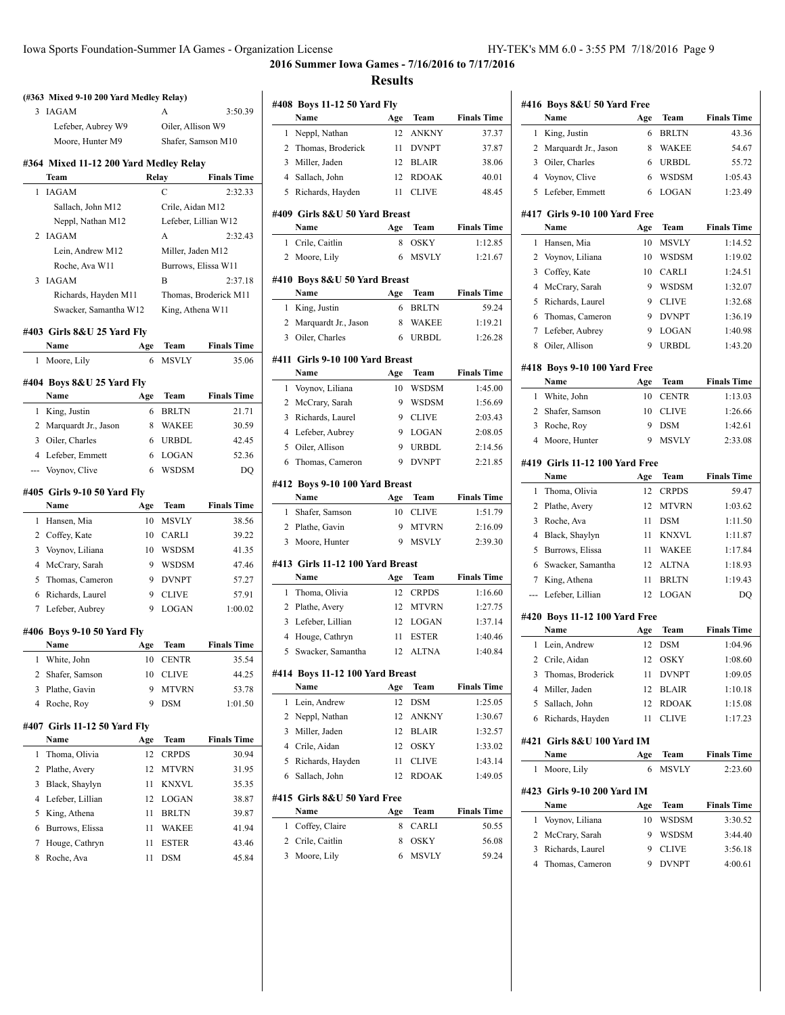$\overline{a}$ 

**2016 Summer Iowa Games - 7/16/2016 to 7/17/2016 Results**

# **(#363 Mixed 9-10 200 Yard Medley Relay)** 3 IAGAM A 3:50.39 Lefeber, Aubrey W9 Oiler, Allison W9 Moore, Hunter M9 Shafer, Samson M10 **#364 Mixed 11-12 200 Yard Medley Relay Team Relay Finals Time** 1 IAGAM C 2:32.33 Sallach, John M12 Crile, Aidan M12 Neppl, Nathan M12 Lefeber, Lillian W12 2 IAGAM A 2:32.43 Lein, Andrew M12 Miller, Jaden M12 Roche, Ava W11 Burrows, Elissa W11 3 IAGAM B 2:37.18 Richards, Hayden M11 Thomas, Broderick M11 Swacker, Samantha W12 King, Athena W11 **#403 Girls 8&U 25 Yard Fly Name Age Team Finals Time** 1 Moore, Lily 6 MSVLY 35.06 **#404 Boys 8&U 25 Yard Fly Name Age Team Finals Time** 1 King, Justin 6 BRLTN 21.71 2 Marquardt Jr., Jason 8 WAKEE 30.59 3 Oiler, Charles 6 URBDL 42.45 4 Lefeber, Emmett 6 LOGAN 52.36 --- Voynov, Clive 6 WSDSM DQ **#405 Girls 9-10 50 Yard Fly Name Age Team Finals Time** 1 Hansen, Mia 10 MSVLY 38.56 2 Coffey, Kate 10 CARLI 39.22 3 Voynov, Liliana 10 WSDSM 41.35 4 McCrary, Sarah 9 WSDSM 47.46 5 Thomas, Cameron 9 DVNPT 57.27 6 Richards, Laurel 9 CLIVE 57.91 7 Lefeber, Aubrey 9 LOGAN 1:00.02 **#406 Boys 9-10 50 Yard Fly Name Age Team Finals Time** 1 White, John 10 CENTR 35.54 2 Shafer, Samson 10 CLIVE 44.25 3 Plathe, Gavin 9 MTVRN 53.78 4 Roche, Roy 9 DSM 1:01.50 **#407 Girls 11-12 50 Yard Fly Name Age Team Finals Time** 1 Thoma, Olivia 12 CRPDS 30.94 2 Plathe, Avery 12 MTVRN 31.95 3 Black, Shaylyn 11 KNXVL 35.35 4 Lefeber, Lillian 12 LOGAN 38.87 5 King, Athena 11 BRLTN 39.87 6 Burrows, Elissa 11 WAKEE 41.94 7 Houge, Cathryn 11 ESTER 43.46 8 Roche, Ava 11 DSM 45.84

|                     | #408 Boys 11-12 50 Yard Fly          |          |                              |                    |
|---------------------|--------------------------------------|----------|------------------------------|--------------------|
|                     | Name                                 | Age      | Team                         | <b>Finals Time</b> |
| 1                   | Neppl, Nathan                        | 12       | <b>ANKNY</b>                 | 37.37              |
| 2                   | Thomas, Broderick                    | 11       | <b>DVNPT</b>                 | 37.87              |
| 3                   | Miller, Jaden                        | 12       | <b>BLAIR</b>                 | 38.06              |
| $\overline{4}$      | Sallach, John                        | 12       | <b>RDOAK</b>                 | 40.01              |
| 5                   | Richards, Hayden                     | 11       | <b>CLIVE</b>                 | 48.45              |
|                     | #409 Girls 8&U 50 Yard Breast        |          |                              |                    |
|                     | Name                                 | Age      | Team                         | <b>Finals Time</b> |
| 1                   | Crile, Caitlin                       | 8        | <b>OSKY</b>                  | 1:12.85            |
| 2                   | Moore, Lily                          | 6        | <b>MSVLY</b>                 | 1:21.67            |
|                     |                                      |          |                              |                    |
|                     | #410 Boys 8&U 50 Yard Breast<br>Name | Age      | Team                         | <b>Finals Time</b> |
| 1                   | King, Justin                         | 6        | <b>BRLTN</b>                 | 59.24              |
| 2                   | Marquardt Jr., Jason                 | 8        | <b>WAKEE</b>                 | 1:19.21            |
| 3                   | Oiler, Charles                       | 6        | <b>URBDL</b>                 | 1:26.28            |
|                     |                                      |          |                              |                    |
|                     | #411  Girls 9-10 100 Yard Breast     |          |                              |                    |
|                     | Name                                 | Age      | Team                         | <b>Finals Time</b> |
| 1                   | Voynov, Liliana                      | 10       | <b>WSDSM</b>                 | 1:45.00            |
| 2                   | McCrary, Sarah                       | 9        | <b>WSDSM</b>                 | 1:56.69            |
| 3                   | Richards, Laurel                     | 9        | <b>CLIVE</b>                 | 2:03.43            |
| 4                   | Lefeber, Aubrey                      | 9        | <b>LOGAN</b>                 | 2:08.05            |
| 5                   | Oiler, Allison                       | 9        | <b>URBDL</b>                 | 2:14.56            |
| 6                   | Thomas, Cameron                      | 9        | <b>DVNPT</b>                 | 2:21.85            |
|                     |                                      |          |                              |                    |
|                     | #412 Boys 9-10 100 Yard Breast       |          |                              |                    |
|                     | Name                                 | Age      | <b>Team</b>                  | <b>Finals Time</b> |
| 1                   | Shafer, Samson                       | 10       | <b>CLIVE</b>                 | 1:51.79            |
| 2                   | Plathe, Gavin                        | 9        | <b>MTVRN</b>                 | 2:16.09            |
| 3                   | Moore, Hunter                        | 9        | <b>MSVLY</b>                 | 2:39.30            |
|                     |                                      |          |                              |                    |
|                     | #413  Girls 11-12 100 Yard Breast    |          |                              |                    |
|                     | Name                                 | Age      | Team                         | <b>Finals Time</b> |
| 1                   | Thoma, Olivia                        | 12       | <b>CRPDS</b>                 | 1:16.60            |
| 2                   | Plathe, Avery                        | 12       | <b>MTVRN</b>                 | 1:27.75            |
| 3                   | Lefeber, Lillian                     | 12       | <b>LOGAN</b>                 | 1:37.14            |
| $\overline{4}$<br>5 | Houge, Cathryn<br>Swacker, Samantha  | 11<br>12 | <b>ESTER</b><br><b>ALTNA</b> | 1:40.46            |
|                     |                                      |          |                              | 1:40.84            |
|                     | #414 Boys 11-12 100 Yard Breast      |          |                              |                    |
|                     | Name                                 | Age      | Team                         | <b>Finals Time</b> |
| 1                   | Lein, Andrew                         | 12       | DSM                          | 1:25.05            |
| 2                   | Neppl, Nathan                        | 12       | ANKNY                        | 1:30.67            |
| 3                   | Miller, Jaden                        | 12       | <b>BLAIR</b>                 | 1:32.57            |
| 4                   | Crile, Aidan                         | 12       | OSKY                         | 1:33.02            |
| 5                   | Richards, Hayden                     | 11       | <b>CLIVE</b>                 | 1:43.14            |
| 6                   | Sallach, John                        | 12       | <b>RDOAK</b>                 | 1:49.05            |
|                     | #415 Girls 8&U 50 Yard Free          |          |                              |                    |
|                     | Name                                 | Age      | Team                         | <b>Finals Time</b> |
| 1                   | Coffey, Claire                       | 8        | CARLI                        | 50.55              |
| 2                   | Crile, Caitlin                       | 8        | OSKY                         | 56.08              |

|                | Name                                  | #416 Boys 8&U 50 Yard Free<br>Age | Team           | <b>Finals Time</b>                                                                                                                                                                                                  |
|----------------|---------------------------------------|-----------------------------------|----------------|---------------------------------------------------------------------------------------------------------------------------------------------------------------------------------------------------------------------|
| 1              | King, Justin                          | 6                                 | <b>BRLTN</b>   | 43.36                                                                                                                                                                                                               |
| 2              | Marquardt Jr., Jason                  | 8                                 | WAKEE          | 54.67                                                                                                                                                                                                               |
| 3              | Oiler, Charles                        | 6                                 | <b>URBDL</b>   | 55.72                                                                                                                                                                                                               |
|                | 4 Voynov, Clive                       | 6                                 | <b>WSDSM</b>   | 1:05.43                                                                                                                                                                                                             |
| 5              | Lefeber, Emmett                       | 6                                 | LOGAN          | 1:23.49                                                                                                                                                                                                             |
|                |                                       |                                   |                |                                                                                                                                                                                                                     |
|                | #417 Girls 9-10 100 Yard Free<br>Name | Age                               | Team           | <b>Finals Time</b>                                                                                                                                                                                                  |
| 1              | Hansen, Mia                           | 10                                | MSVLY          | 1:14.52                                                                                                                                                                                                             |
| 2              | Voynov, Liliana                       | 10                                | <b>WSDSM</b>   | 1:19.02                                                                                                                                                                                                             |
| 3              | Coffey, Kate                          | 10                                | <b>CARLI</b>   | 1:24.51                                                                                                                                                                                                             |
| 4              | McCrary, Sarah                        | 9                                 | <b>WSDSM</b>   | 1:32.07                                                                                                                                                                                                             |
| 5              | Richards, Laurel                      | 9                                 | <b>CLIVE</b>   | 1:32.68                                                                                                                                                                                                             |
| 6              | Thomas, Cameron                       | 9                                 | <b>DVNPT</b>   | 1:36.19                                                                                                                                                                                                             |
| 7              | Lefeber, Aubrey                       | 9                                 | <b>LOGAN</b>   | 1:40.98                                                                                                                                                                                                             |
| 8              | Oiler, Allison                        | 9                                 | URBDL          | 1:43.20                                                                                                                                                                                                             |
|                |                                       |                                   |                |                                                                                                                                                                                                                     |
|                | #418 Boys 9-10 100 Yard Free          |                                   |                |                                                                                                                                                                                                                     |
|                | Name                                  | Age                               | Team           | <b>Finals Time</b><br>1:13.03                                                                                                                                                                                       |
| 1              | White, John                           | 10                                | <b>CENTR</b>   |                                                                                                                                                                                                                     |
| 2              | Shafer, Samson                        | 10                                | <b>CLIVE</b>   | 1:26.66                                                                                                                                                                                                             |
| 3              | Roche, Roy                            | 9                                 | <b>DSM</b>     | 1:42.61                                                                                                                                                                                                             |
| $\overline{4}$ | Moore, Hunter                         | 9                                 | <b>MSVLY</b>   | 2:33.08                                                                                                                                                                                                             |
|                | #419 Girls 11-12 100 Yard Free        |                                   |                |                                                                                                                                                                                                                     |
|                | Name                                  | Age                               | Team           | <b>Finals Time</b>                                                                                                                                                                                                  |
| 1              | Thoma, Olivia                         | 12                                | <b>CRPDS</b>   | 59.47                                                                                                                                                                                                               |
| 2              | Plathe, Avery                         | 12                                | MTVRN          | 1:03.62                                                                                                                                                                                                             |
| 3              | Roche, Ava                            | 11                                | <b>DSM</b>     | 1:11.50                                                                                                                                                                                                             |
|                | Black, Shaylyn                        | 11                                | <b>KNXVL</b>   | 1:11.87                                                                                                                                                                                                             |
| 4              |                                       |                                   |                |                                                                                                                                                                                                                     |
| 5              | Burrows, Elissa                       | 11                                | WAKEE          |                                                                                                                                                                                                                     |
| 6              | Swacker, Samantha                     | 12                                | <b>ALTNA</b>   |                                                                                                                                                                                                                     |
| 7              | King, Athena                          | 11                                | <b>BRLTN</b>   |                                                                                                                                                                                                                     |
| ---            | Lefeber, Lillian                      | 12                                | LOGAN          |                                                                                                                                                                                                                     |
|                | #420 Boys 11-12 100 Yard Free         |                                   |                |                                                                                                                                                                                                                     |
|                | Name                                  | Age                               | Team           |                                                                                                                                                                                                                     |
| 1              | Lein, Andrew                          | 12                                | <b>DSM</b>     |                                                                                                                                                                                                                     |
| 2              | Crile, Aidan                          | 12                                | OSKY           |                                                                                                                                                                                                                     |
| 3              | Thomas, Broderick                     | 11                                | <b>DVNPT</b>   |                                                                                                                                                                                                                     |
| 4              | Miller, Jaden                         | 12                                | <b>BLAIR</b>   |                                                                                                                                                                                                                     |
| 5              | Sallach, John                         | 12                                | <b>RDOAK</b>   |                                                                                                                                                                                                                     |
| 6              | Richards, Hayden                      | 11                                | <b>CLIVE</b>   |                                                                                                                                                                                                                     |
|                | #421 Girls 8&U 100 Yard IM            |                                   |                |                                                                                                                                                                                                                     |
|                | Name                                  | Age                               | Team           |                                                                                                                                                                                                                     |
| 1              | Moore, Lily                           | 6                                 | MSVLY          |                                                                                                                                                                                                                     |
|                |                                       |                                   |                |                                                                                                                                                                                                                     |
|                | #423 Girls 9-10 200 Yard IM<br>Name   |                                   | Team           |                                                                                                                                                                                                                     |
| 1              | Voynov, Liliana                       | Age<br>10                         |                |                                                                                                                                                                                                                     |
| 2              |                                       | 9                                 | WSDSM<br>WSDSM |                                                                                                                                                                                                                     |
| 3              | McCrary, Sarah<br>Richards, Laurel    | 9                                 | <b>CLIVE</b>   | 1:17.84<br>1:18.93<br>1:19.43<br>DQ<br><b>Finals Time</b><br>1:04.96<br>1:08.60<br>1:09.05<br>1:10.18<br>1:15.08<br>1:17.23<br><b>Finals Time</b><br>2:23.60<br><b>Finals Time</b><br>3:30.52<br>3:44.40<br>3:56.18 |